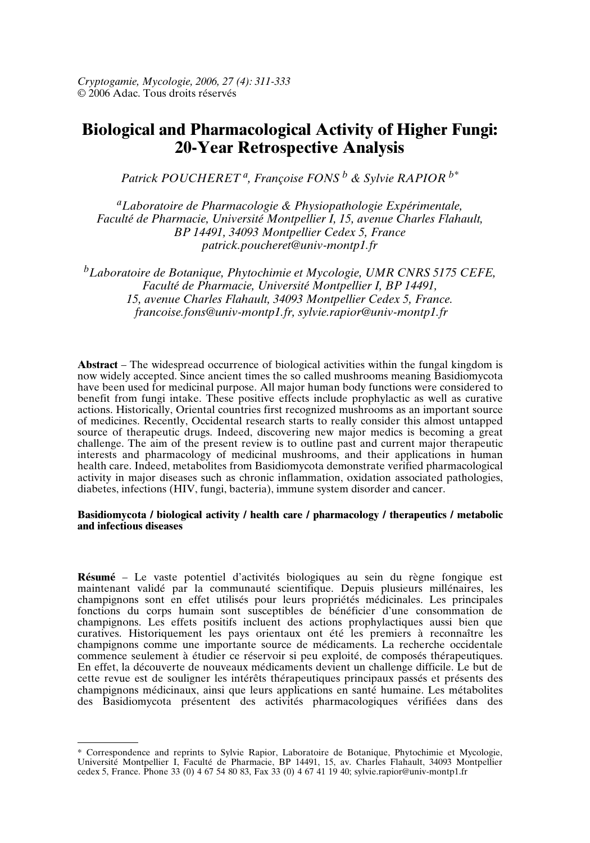*Cryptogamie, Mycologie, 2006, 27 (4): 311-333* © 2006 Adac. Tous droits réservés

# **Biological and Pharmacological Activity of Higher Fungi: 20-Year Retrospective Analysis**

*Patrick POUCHERET <sup>a</sup> , Françoise FONS <sup>b</sup> & Sylvie RAPIOR b\**

*<sup>a</sup>Laboratoire de Pharmacologie & Physiopathologie Expérimentale, Faculté de Pharmacie, Université Montpellier I, 15, avenue Charles Flahault, BP 14491, 34093 Montpellier Cedex 5, France patrick.poucheret@univ-montp1.fr*

*<sup>b</sup>Laboratoire de Botanique, Phytochimie et Mycologie, UMR CNRS 5175 CEFE, Faculté de Pharmacie, Université Montpellier I, BP 14491, 15, avenue Charles Flahault, 34093 Montpellier Cedex 5, France. francoise.fons@univ-montp1.fr, sylvie.rapior@univ-montp1.fr*

**Abstract** – The widespread occurrence of biological activities within the fungal kingdom is now widely accepted. Since ancient times the so called mushrooms meaning Basidiomycota have been used for medicinal purpose. All major human body functions were considered to benefit from fungi intake. These positive effects include prophylactic as well as curative actions. Historically, Oriental countries first recognized mushrooms as an important source of medicines. Recently, Occidental research starts to really consider this almost untapped source of therapeutic drugs. Indeed, discovering new major medics is becoming a great challenge. The aim of the present review is to outline past and current major therapeutic interests and pharmacology of medicinal mushrooms, and their applications in human health care. Indeed, metabolites from Basidiomycota demonstrate verified pharmacological activity in major diseases such as chronic inflammation, oxidation associated pathologies, diabetes, infections (HIV, fungi, bacteria), immune system disorder and cancer.

#### **Basidiomycota / biological activity / health care / pharmacology / therapeutics / metabolic and infectious diseases**

**Résumé** – Le vaste potentiel d'activités biologiques au sein du règne fongique est maintenant validé par la communauté scientifique. Depuis plusieurs millénaires, les champignons sont en effet utilisés pour leurs propriétés médicinales. Les principales fonctions du corps humain sont susceptibles de bénéficier d'une consommation de champignons. Les effets positifs incluent des actions prophylactiques aussi bien que curatives. Historiquement les pays orientaux ont été les premiers à reconnaître les champignons comme une importante source de médicaments. La recherche occidentale commence seulement à étudier ce réservoir si peu exploité, de composés thérapeutiques. En effet, la découverte de nouveaux médicaments devient un challenge difficile. Le but de cette revue est de souligner les intérêts thérapeutiques principaux passés et présents des champignons médicinaux, ainsi que leurs applications en santé humaine. Les métabolites des Basidiomycota présentent des activités pharmacologiques vérifiées dans des

<sup>\*</sup> Correspondence and reprints to Sylvie Rapior, Laboratoire de Botanique, Phytochimie et Mycologie, Université Montpellier I, Faculté de Pharmacie, BP 14491, 15, av. Charles Flahault, 34093 Montpellier cedex 5, France. Phone 33 (0) 4 67 54 80 83, Fax 33 (0) 4 67 41 19 40; sylvie.rapior@univ-montp1.fr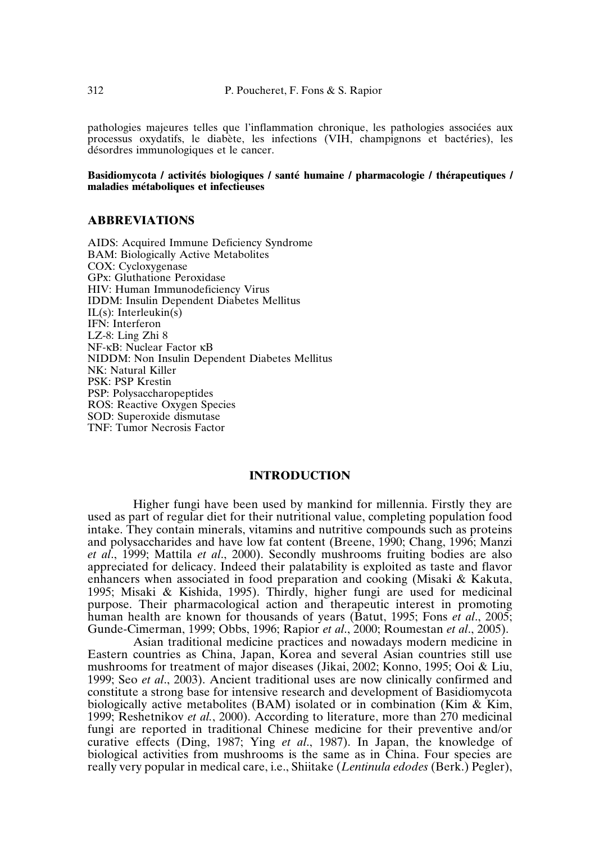pathologies majeures telles que l'inflammation chronique, les pathologies associées aux processus oxydatifs, le diabète, les infections (VIH, champignons et bactéries), les désordres immunologiques et le cancer.

**Basidiomycota / activités biologiques / santé humaine / pharmacologie / thérapeutiques / maladies métaboliques et infectieuses**

### **ABBREVIATIONS**

AIDS: Acquired Immune Deficiency Syndrome BAM: Biologically Active Metabolites COX: Cycloxygenase GPx: Gluthatione Peroxidase HIV: Human Immunodeficiency Virus IDDM: Insulin Dependent Diabetes Mellitus  $IL(s)$ : Interleukin(s) IFN: Interferon LZ-8: Ling Zhi 8 NF-κB: Nuclear Factor κB NIDDM: Non Insulin Dependent Diabetes Mellitus NK: Natural Killer PSK: PSP Krestin PSP: Polysaccharopeptides ROS: Reactive Oxygen Species SOD: Superoxide dismutase TNF: Tumor Necrosis Factor

#### **INTRODUCTION**

Higher fungi have been used by mankind for millennia. Firstly they are used as part of regular diet for their nutritional value, completing population food intake. They contain minerals, vitamins and nutritive compounds such as proteins and polysaccharides and have low fat content (Breene, 1990; Chang, 1996; Manzi *et al*., 1999; Mattila *et al*., 2000). Secondly mushrooms fruiting bodies are also appreciated for delicacy. Indeed their palatability is exploited as taste and flavor enhancers when associated in food preparation and cooking (Misaki & Kakuta, 1995; Misaki & Kishida, 1995). Thirdly, higher fungi are used for medicinal purpose. Their pharmacological action and therapeutic interest in promoting human health are known for thousands of years (Batut, 1995; Fons *et al*., 2005; Gunde-Cimerman, 1999; Obbs, 1996; Rapior *et al*., 2000; Roumestan *et al*., 2005).

Asian traditional medicine practices and nowadays modern medicine in Eastern countries as China, Japan, Korea and several Asian countries still use mushrooms for treatment of major diseases (Jikai, 2002; Konno, 1995; Ooi & Liu, 1999; Seo *et al*., 2003). Ancient traditional uses are now clinically confirmed and constitute a strong base for intensive research and development of Basidiomycota biologically active metabolites (BAM) isolated or in combination (Kim & Kim, 1999; Reshetnikov *et al.*, 2000). According to literature, more than 270 medicinal fungi are reported in traditional Chinese medicine for their preventive and/or curative effects (Ding, 1987; Ying *et al*., 1987). In Japan, the knowledge of biological activities from mushrooms is the same as in China. Four species are really very popular in medical care, i.e., Shiitake (*Lentinula edodes* (Berk.) Pegler),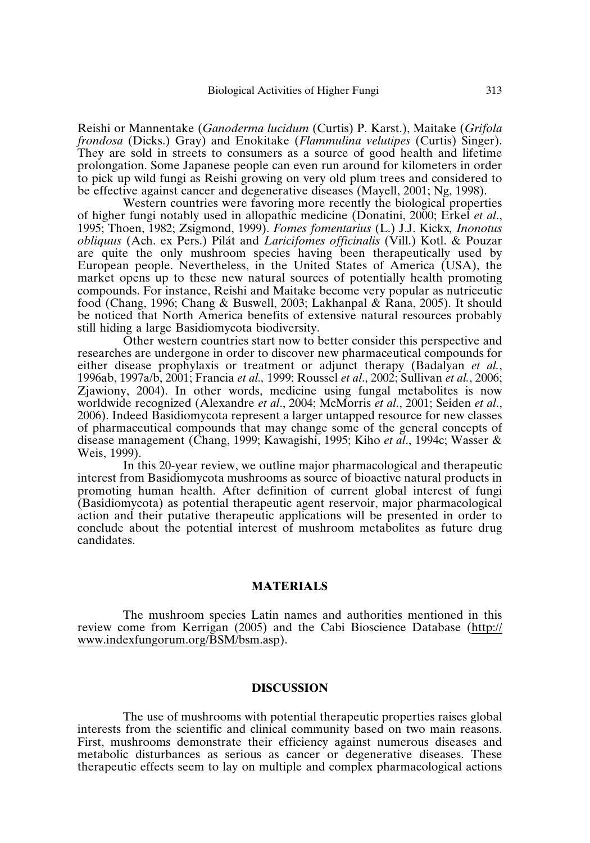Reishi or Mannentake (*Ganoderma lucidum* (Curtis) P. Karst.), Maitake (*Grifola frondosa* (Dicks.) Gray) and Enokitake (*Flammulina velutipes* (Curtis) Singer). They are sold in streets to consumers as a source of good health and lifetime prolongation. Some Japanese people can even run around for kilometers in order to pick up wild fungi as Reishi growing on very old plum trees and considered to be effective against cancer and degenerative diseases (Mayell, 2001; Ng, 1998).

Western countries were favoring more recently the biological properties of higher fungi notably used in allopathic medicine (Donatini, 2000; Erkel *et al*., 1995; Thoen, 1982; Zsigmond, 1999). *Fomes fomentarius* (L.) J.J. Kickx*, Inonotus obliquus* (Ach. ex Pers.) Pilát and *Laricifomes officinalis* (Vill.) Kotl. & Pouzar are quite the only mushroom species having been therapeutically used by European people. Nevertheless, in the United States of America (USA), the market opens up to these new natural sources of potentially health promoting compounds. For instance, Reishi and Maitake become very popular as nutriceutic food (Chang, 1996; Chang & Buswell, 2003; Lakhanpal & Rana, 2005). It should be noticed that North America benefits of extensive natural resources probably still hiding a large Basidiomycota biodiversity.

Other western countries start now to better consider this perspective and researches are undergone in order to discover new pharmaceutical compounds for either disease prophylaxis or treatment or adjunct therapy (Badalyan *et al.*, 1996ab, 1997a/b, 2001; Francia *et al.,* 1999; Roussel *et al*., 2002; Sullivan *et al.*, 2006; Zjawiony, 2004). In other words, medicine using fungal metabolites is now worldwide recognized (Alexandre *et al*., 2004; McMorris *et al*., 2001; Seiden *et al*., 2006). Indeed Basidiomycota represent a larger untapped resource for new classes of pharmaceutical compounds that may change some of the general concepts of disease management (Chang, 1999; Kawagishi, 1995; Kiho *et al*., 1994c; Wasser & Weis, 1999).

In this 20-year review, we outline major pharmacological and therapeutic interest from Basidiomycota mushrooms as source of bioactive natural products in promoting human health. After definition of current global interest of fungi (Basidiomycota) as potential therapeutic agent reservoir, major pharmacological action and their putative therapeutic applications will be presented in order to conclude about the potential interest of mushroom metabolites as future drug candidates.

# **MATERIALS**

The mushroom species Latin names and authorities mentioned in this review come from Kerrigan (2005) and the Cabi Bioscience Database (http:// www.indexfungorum.org/BSM/bsm.asp).

## **DISCUSSION**

The use of mushrooms with potential therapeutic properties raises global interests from the scientific and clinical community based on two main reasons. First, mushrooms demonstrate their efficiency against numerous diseases and metabolic disturbances as serious as cancer or degenerative diseases. These therapeutic effects seem to lay on multiple and complex pharmacological actions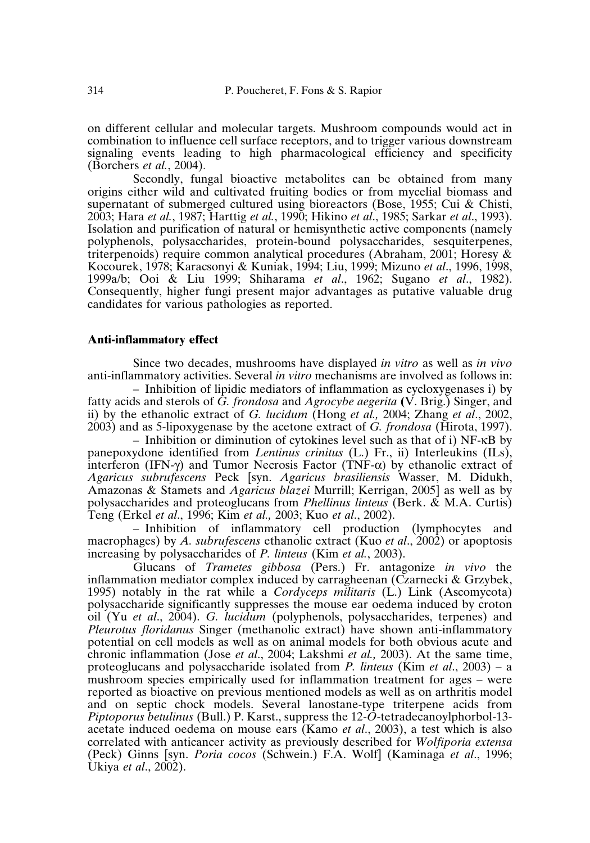on different cellular and molecular targets. Mushroom compounds would act in combination to influence cell surface receptors, and to trigger various downstream signaling events leading to high pharmacological efficiency and specificity (Borchers *et al.*, 2004).

Secondly, fungal bioactive metabolites can be obtained from many origins either wild and cultivated fruiting bodies or from mycelial biomass and supernatant of submerged cultured using bioreactors (Bose, 1955; Cui & Chisti, 2003; Hara *et al.*, 1987; Harttig *et al.*, 1990; Hikino *et al*., 1985; Sarkar *et al*., 1993). Isolation and purification of natural or hemisynthetic active components (namely polyphenols, polysaccharides, protein-bound polysaccharides, sesquiterpenes, triterpenoids) require common analytical procedures (Abraham, 2001; Horesy & Kocourek, 1978; Karacsonyi & Kuniak, 1994; Liu, 1999; Mizuno *et al*., 1996, 1998, 1999a/b; Ooi & Liu 1999; Shiharama *et al*., 1962; Sugano *et al*., 1982). Consequently, higher fungi present major advantages as putative valuable drug candidates for various pathologies as reported.

#### **Anti-inflammatory effect**

Since two decades, mushrooms have displayed *in vitro* as well as *in vivo* anti-inflammatory activities. Several *in vitro* mechanisms are involved as follows in:

– Inhibition of lipidic mediators of inflammation as cycloxygenases i) by fatty acids and sterols of *G. frondosa* and *Agrocybe aegerita* **(**V. Brig.) Singer, and ii) by the ethanolic extract of *G. lucidum* (Hong *et al.,* 2004; Zhang *et al*., 2002, 2003) and as 5-lipoxygenase by the acetone extract of *G. frondosa* (Hirota, 1997).

– Inhibition or diminution of cytokines level such as that of i) NF-κB by panepoxydone identified from *Lentinus crinitus* (L.) Fr., ii) Interleukins (ILs), interferon (IFN-γ) and Tumor Necrosis Factor (TNF- $\alpha$ ) by ethanolic extract of *Agaricus subrufescens* Peck [syn. *Agaricus brasiliensis* Wasser, M. Didukh, Amazonas & Stamets and *Agaricus blazei* Murrill; Kerrigan, 2005] as well as by polysaccharides and proteoglucans from *Phellinus linteus* (Berk. & M.A. Curtis) Teng (Erkel *et al*., 1996; Kim *et al.,* 2003; Kuo *et al*., 2002).

– Inhibition of inflammatory cell production (lymphocytes and macrophages) by *A. subrufescens* ethanolic extract (Kuo *et al*., 2002) or apoptosis increasing by polysaccharides of *P. linteus* (Kim *et al.*, 2003).

Glucans of *Trametes gibbosa* (Pers.) Fr. antagonize *in vivo* the inflammation mediator complex induced by carragheenan (Czarnecki & Grzybek, 1995) notably in the rat while a *Cordyceps militaris* (L.) Link (Ascomycota) polysaccharide significantly suppresses the mouse ear oedema induced by croton oil (Yu *et al*., 2004). *G. lucidum* (polyphenols, polysaccharides, terpenes) and *Pleurotus floridanus* Singer (methanolic extract) have shown anti-inflammatory potential on cell models as well as on animal models for both obvious acute and chronic inflammation (Jose *et al*., 2004; Lakshmi *et al.,* 2003). At the same time, proteoglucans and polysaccharide isolated from *P. linteus* (Kim *et al*., 2003) – a mushroom species empirically used for inflammation treatment for ages – were reported as bioactive on previous mentioned models as well as on arthritis model and on septic chock models. Several lanostane-type triterpene acids from *Piptoporus betulinus* (Bull.) P. Karst., suppress the 12-*O*-tetradecanoylphorbol-13 acetate induced oedema on mouse ears (Kamo *et al*., 2003), a test which is also correlated with anticancer activity as previously described for *Wolfiporia extensa* (Peck) Ginns [syn. *Poria cocos* (Schwein.) F.A. Wolf] (Kaminaga *et al*., 1996; Ukiya *et al*., 2002).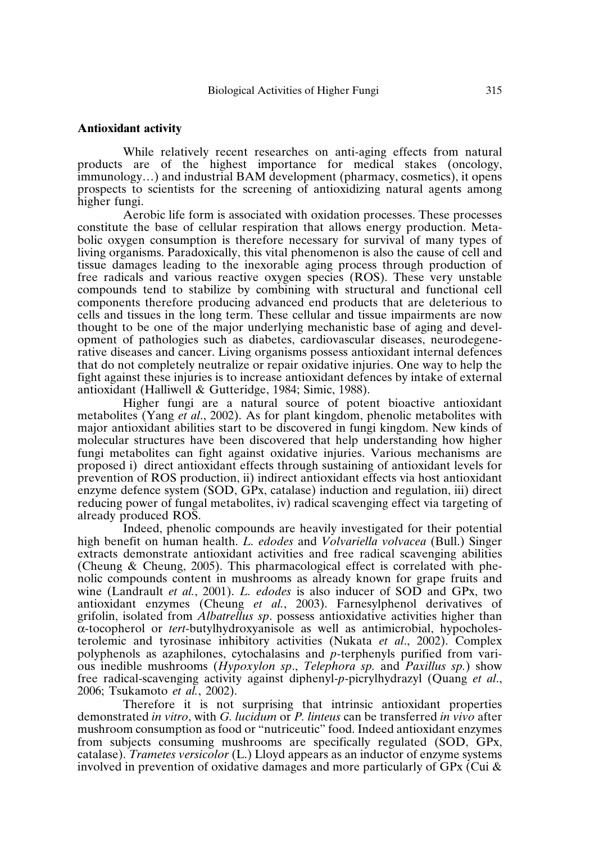### **Antioxidant activity**

While relatively recent researches on anti-aging effects from natural products are of the highest importance for medical stakes (oncology, immunology…) and industrial BAM development (pharmacy, cosmetics), it opens prospects to scientists for the screening of antioxidizing natural agents among higher fungi.

Aerobic life form is associated with oxidation processes. These processes constitute the base of cellular respiration that allows energy production. Metabolic oxygen consumption is therefore necessary for survival of many types of living organisms. Paradoxically, this vital phenomenon is also the cause of cell and tissue damages leading to the inexorable aging process through production of free radicals and various reactive oxygen species (ROS). These very unstable compounds tend to stabilize by combining with structural and functional cell components therefore producing advanced end products that are deleterious to cells and tissues in the long term. These cellular and tissue impairments are now thought to be one of the major underlying mechanistic base of aging and development of pathologies such as diabetes, cardiovascular diseases, neurodegenerative diseases and cancer. Living organisms possess antioxidant internal defences that do not completely neutralize or repair oxidative injuries. One way to help the fight against these injuries is to increase antioxidant defences by intake of external antioxidant (Halliwell & Gutteridge, 1984; Simic, 1988).

Higher fungi are a natural source of potent bioactive antioxidant metabolites (Yang *et al*., 2002). As for plant kingdom, phenolic metabolites with major antioxidant abilities start to be discovered in fungi kingdom. New kinds of molecular structures have been discovered that help understanding how higher fungi metabolites can fight against oxidative injuries. Various mechanisms are proposed i) direct antioxidant effects through sustaining of antioxidant levels for prevention of ROS production, ii) indirect antioxidant effects via host antioxidant enzyme defence system (SOD, GPx, catalase) induction and regulation, iii) direct reducing power of fungal metabolites, iv) radical scavenging effect via targeting of already produced ROS.

Indeed, phenolic compounds are heavily investigated for their potential high benefit on human health. *L. edodes* and *Volvariella volvacea* (Bull.) Singer extracts demonstrate antioxidant activities and free radical scavenging abilities (Cheung & Cheung, 2005). This pharmacological effect is correlated with phenolic compounds content in mushrooms as already known for grape fruits and wine (Landrault *et al.*, 2001). *L. edodes* is also inducer of SOD and GPx, two antioxidant enzymes (Cheung *et al.*, 2003). Farnesylphenol derivatives of grifolin, isolated from *Albatrellus sp*. possess antioxidative activities higher than α-tocopherol or *tert*-butylhydroxyanisole as well as antimicrobial, hypocholesterolemic and tyrosinase inhibitory activities (Nukata *et al*., 2002). Complex polyphenols as azaphilones, cytochalasins and *p*-terphenyls purified from various inedible mushrooms (*Hypoxylon sp*., *Telephora sp.* and *Paxillus sp.*) show free radical-scavenging activity against diphenyl-*p*-picrylhydrazyl (Quang *et al*., 2006; Tsukamoto *et al.*, 2002).

Therefore it is not surprising that intrinsic antioxidant properties demonstrated *in vitro*, with *G. lucidum* or *P. linteus* can be transferred *in vivo* after mushroom consumption as food or "nutriceutic" food. Indeed antioxidant enzymes from subjects consuming mushrooms are specifically regulated (SOD, GPx, catalase). *Trametes versicolor* (L.) Lloyd appears as an inductor of enzyme systems involved in prevention of oxidative damages and more particularly of GPx (Cui  $\&$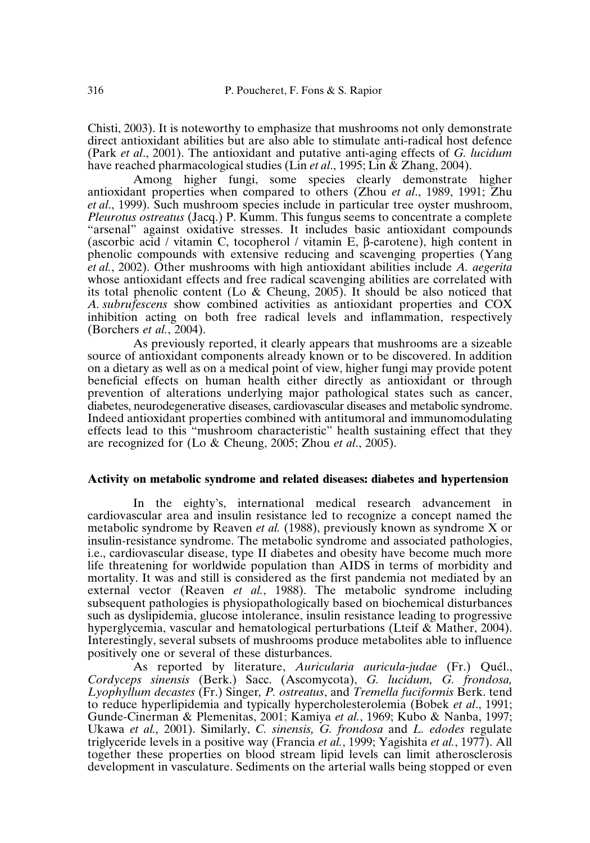Chisti, 2003). It is noteworthy to emphasize that mushrooms not only demonstrate direct antioxidant abilities but are also able to stimulate anti-radical host defence (Park *et al*., 2001). The antioxidant and putative anti-aging effects of *G. lucidum* have reached pharmacological studies (Lin *et al*., 1995; Lin & Zhang, 2004).

Among higher fungi, some species clearly demonstrate higher antioxidant properties when compared to others (Zhou *et al*., 1989, 1991; Zhu *et al*., 1999). Such mushroom species include in particular tree oyster mushroom, *Pleurotus ostreatus* (Jacq.) P. Kumm. This fungus seems to concentrate a complete "arsenal" against oxidative stresses. It includes basic antioxidant compounds (ascorbic acid / vitamin C, tocopherol / vitamin E, β-carotene), high content in phenolic compounds with extensive reducing and scavenging properties (Yang *et al.*, 2002). Other mushrooms with high antioxidant abilities include *A. aegerita* whose antioxidant effects and free radical scavenging abilities are correlated with its total phenolic content (Lo & Cheung, 2005). It should be also noticed that *A. subrufescens* show combined activities as antioxidant properties and COX inhibition acting on both free radical levels and inflammation, respectively (Borchers *et al.*, 2004).

As previously reported, it clearly appears that mushrooms are a sizeable source of antioxidant components already known or to be discovered. In addition on a dietary as well as on a medical point of view, higher fungi may provide potent beneficial effects on human health either directly as antioxidant or through prevention of alterations underlying major pathological states such as cancer, diabetes, neurodegenerative diseases, cardiovascular diseases and metabolic syndrome. Indeed antioxidant properties combined with antitumoral and immunomodulating effects lead to this "mushroom characteristic" health sustaining effect that they are recognized for (Lo & Cheung, 2005; Zhou *et al*., 2005).

## **Activity on metabolic syndrome and related diseases: diabetes and hypertension**

In the eighty's, international medical research advancement in cardiovascular area and insulin resistance led to recognize a concept named the metabolic syndrome by Reaven *et al.* (1988), previously known as syndrome X or insulin-resistance syndrome. The metabolic syndrome and associated pathologies, i.e., cardiovascular disease, type II diabetes and obesity have become much more life threatening for worldwide population than AIDS in terms of morbidity and mortality. It was and still is considered as the first pandemia not mediated by an external vector (Reaven *et al.*, 1988). The metabolic syndrome including subsequent pathologies is physiopathologically based on biochemical disturbances such as dyslipidemia, glucose intolerance, insulin resistance leading to progressive hyperglycemia, vascular and hematological perturbations (Lteif & Mather, 2004). Interestingly, several subsets of mushrooms produce metabolites able to influence positively one or several of these disturbances.

As reported by literature, *Auricularia auricula-judae* (Fr.) Quél., *Cordyceps sinensis* (Berk.) Sacc. (Ascomycota), *G. lucidum, G. frondosa, Lyophyllum decastes* (Fr.) Singer*, P. ostreatus*, and *Tremella fuciformis* Berk. tend to reduce hyperlipidemia and typically hypercholesterolemia (Bobek *et al*., 1991; Gunde-Cinerman & Plemenitas, 2001; Kamiya *et al.*, 1969; Kubo & Nanba, 1997; Ukawa *et al.,* 2001). Similarly, *C. sinensis, G. frondosa* and *L. edodes* regulate triglyceride levels in a positive way (Francia *et al.*, 1999; Yagishita *et al.*, 1977). All together these properties on blood stream lipid levels can limit atherosclerosis development in vasculature. Sediments on the arterial walls being stopped or even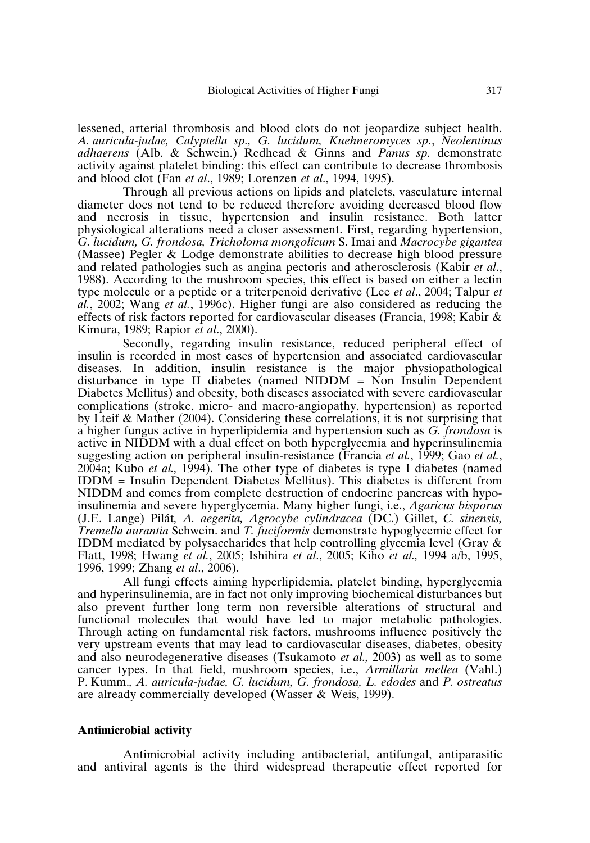lessened, arterial thrombosis and blood clots do not jeopardize subject health. *A. auricula-judae, Calyptella sp., G. lucidum, Kuehneromyces sp.*, *Neolentinus adhaerens* (Alb. & Schwein.) Redhead & Ginns and *Panus sp.* demonstrate activity against platelet binding: this effect can contribute to decrease thrombosis and blood clot (Fan *et al*., 1989; Lorenzen *et al*., 1994, 1995).

Through all previous actions on lipids and platelets, vasculature internal diameter does not tend to be reduced therefore avoiding decreased blood flow and necrosis in tissue, hypertension and insulin resistance. Both latter physiological alterations need a closer assessment. First, regarding hypertension, *G. lucidum, G. frondosa, Tricholoma mongolicum* S. Imai and *Macrocybe gigantea* (Massee) Pegler & Lodge demonstrate abilities to decrease high blood pressure and related pathologies such as angina pectoris and atherosclerosis (Kabir *et al*., 1988). According to the mushroom species, this effect is based on either a lectin type molecule or a peptide or a triterpenoid derivative (Lee *et al*., 2004; Talpur *et al.*, 2002; Wang *et al.*, 1996c). Higher fungi are also considered as reducing the effects of risk factors reported for cardiovascular diseases (Francia, 1998; Kabir & Kimura, 1989; Rapior *et al*., 2000).

Secondly, regarding insulin resistance, reduced peripheral effect of insulin is recorded in most cases of hypertension and associated cardiovascular diseases. In addition, insulin resistance is the major physiopathological disturbance in type II diabetes (named NIDDM = Non Insulin Dependent Diabetes Mellitus) and obesity, both diseases associated with severe cardiovascular complications (stroke, micro- and macro-angiopathy, hypertension) as reported by Lteif & Mather (2004). Considering these correlations, it is not surprising that a higher fungus active in hyperlipidemia and hypertension such as *G. frondosa* is active in NIDDM with a dual effect on both hyperglycemia and hyperinsulinemia suggesting action on peripheral insulin-resistance (Francia *et al.*, 1999; Gao *et al.*, 2004a; Kubo *et al.,* 1994). The other type of diabetes is type I diabetes (named IDDM = Insulin Dependent Diabetes Mellitus). This diabetes is different from NIDDM and comes from complete destruction of endocrine pancreas with hypoinsulinemia and severe hyperglycemia. Many higher fungi, i.e., *Agaricus bisporus* (J.E. Lange) Pilát*, A. aegerita, Agrocybe cylindracea* (DC.) Gillet, *C. sinensis, Tremella aurantia* Schwein. and *T. fuciformis* demonstrate hypoglycemic effect for IDDM mediated by polysaccharides that help controlling glycemia level (Gray & Flatt, 1998; Hwang *et al.*, 2005; Ishihira *et al*., 2005; Kiho *et al.,* 1994 a/b, 1995, 1996, 1999; Zhang *et al*., 2006).

All fungi effects aiming hyperlipidemia, platelet binding, hyperglycemia and hyperinsulinemia, are in fact not only improving biochemical disturbances but also prevent further long term non reversible alterations of structural and functional molecules that would have led to major metabolic pathologies. Through acting on fundamental risk factors, mushrooms influence positively the very upstream events that may lead to cardiovascular diseases, diabetes, obesity and also neurodegenerative diseases (Tsukamoto *et al.,* 2003) as well as to some cancer types. In that field, mushroom species, i.e., *Armillaria mellea* (Vahl.) P. Kumm.*, A. auricula-judae, G. lucidum, G. frondosa, L. edodes* and *P. ostreatus* are already commercially developed (Wasser & Weis, 1999).

#### **Antimicrobial activity**

Antimicrobial activity including antibacterial, antifungal, antiparasitic and antiviral agents is the third widespread therapeutic effect reported for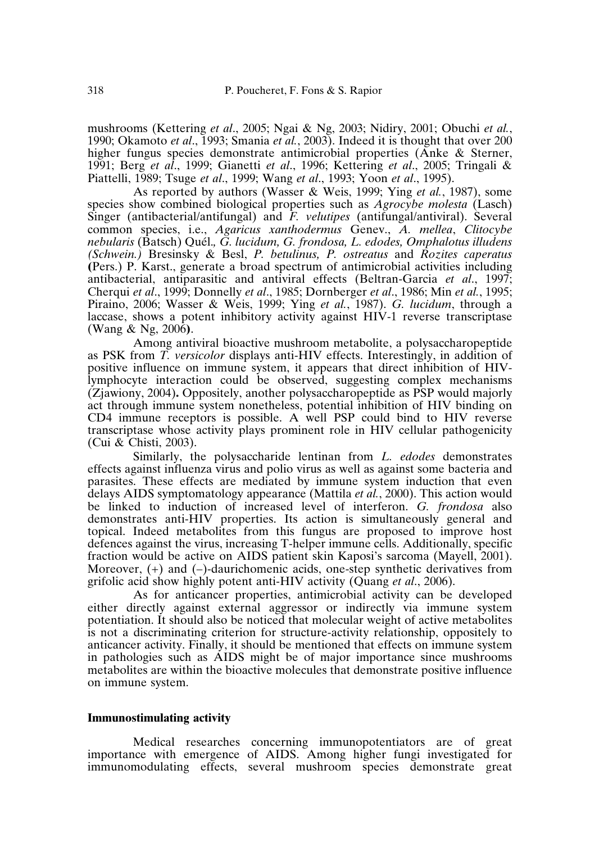mushrooms (Kettering *et al*., 2005; Ngai & Ng, 2003; Nidiry, 2001; Obuchi *et al.*, 1990; Okamoto *et al*., 1993; Smania *et al.*, 2003). Indeed it is thought that over 200 higher fungus species demonstrate antimicrobial properties (Anke & Sterner, 1991; Berg *et al*., 1999; Gianetti *et al*., 1996; Kettering *et al*., 2005; Tringali & Piattelli, 1989; Tsuge *et al*., 1999; Wang *et al*., 1993; Yoon *et al*., 1995).

As reported by authors (Wasser & Weis, 1999; Ying *et al.*, 1987), some species show combined biological properties such as *Agrocybe molesta* (Lasch) Singer (antibacterial/antifungal) and *F. velutipes* (antifungal/antiviral). Several common species, i.e., *Agaricus xanthodermus* Genev., *A. mellea*, *Clitocybe nebularis* (Batsch) Quél.*, G. lucidum, G. frondosa, L. edodes, Omphalotus illudens (Schwein.)* Bresinsky & Besl, *P. betulinus, P. ostreatus* and *Rozites caperatus* **(**Pers.) P. Karst., generate a broad spectrum of antimicrobial activities including antibacterial, antiparasitic and antiviral effects (Beltran-Garcia *et al*., 1997; Cherqui *et al*., 1999; Donnelly *et al*., 1985; Dornberger *et al*., 1986; Min *et al.*, 1995; Piraino, 2006; Wasser & Weis, 1999; Ying *et al.*, 1987). *G. lucidum*, through a laccase, shows a potent inhibitory activity against HIV-1 reverse transcriptase (Wang & Ng, 2006**)**.

Among antiviral bioactive mushroom metabolite, a polysaccharopeptide as PSK from *T. versicolor* displays anti-HIV effects. Interestingly, in addition of positive influence on immune system, it appears that direct inhibition of HIVlymphocyte interaction could be observed, suggesting complex mechanisms (Zjawiony, 2004)**.** Oppositely, another polysaccharopeptide as PSP would majorly act through immune system nonetheless, potential inhibition of HIV binding on CD4 immune receptors is possible. A well PSP could bind to HIV reverse transcriptase whose activity plays prominent role in HIV cellular pathogenicity (Cui & Chisti, 2003).

Similarly, the polysaccharide lentinan from *L. edodes* demonstrates effects against influenza virus and polio virus as well as against some bacteria and parasites. These effects are mediated by immune system induction that even delays AIDS symptomatology appearance (Mattila *et al.*, 2000). This action would be linked to induction of increased level of interferon. *G. frondosa* also demonstrates anti-HIV properties. Its action is simultaneously general and topical. Indeed metabolites from this fungus are proposed to improve host defences against the virus, increasing T-helper immune cells. Additionally, specific fraction would be active on AIDS patient skin Kaposi's sarcoma (Mayell, 2001). Moreover, (+) and (–)-daurichomenic acids, one-step synthetic derivatives from grifolic acid show highly potent anti-HIV activity (Quang *et al*., 2006).

As for anticancer properties, antimicrobial activity can be developed either directly against external aggressor or indirectly via immune system potentiation. It should also be noticed that molecular weight of active metabolites is not a discriminating criterion for structure-activity relationship, oppositely to anticancer activity. Finally, it should be mentioned that effects on immune system in pathologies such as AIDS might be of major importance since mushrooms metabolites are within the bioactive molecules that demonstrate positive influence on immune system.

## **Immunostimulating activity**

Medical researches concerning immunopotentiators are of great importance with emergence of AIDS. Among higher fungi investigated for immunomodulating effects, several mushroom species demonstrate great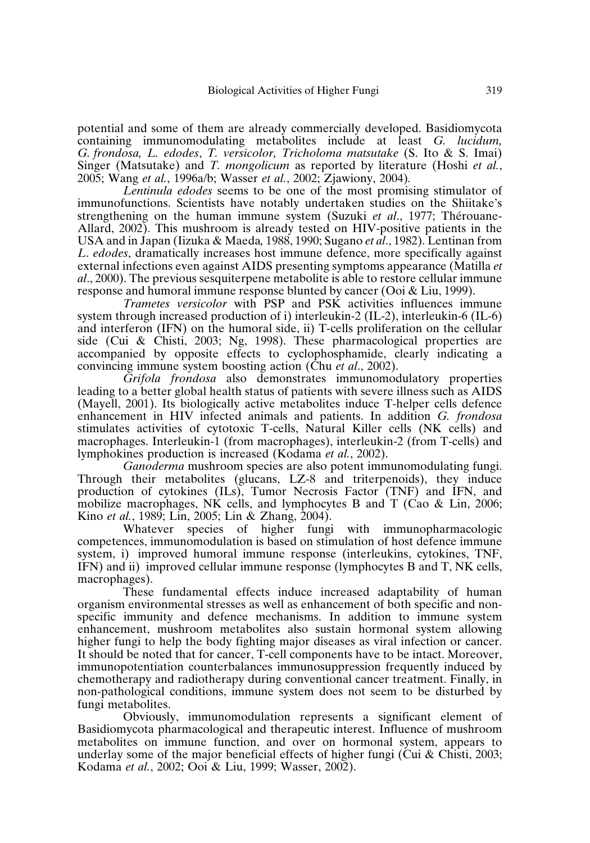potential and some of them are already commercially developed. Basidiomycota containing immunomodulating metabolites include at least *G. lucidum, G. frondosa, L. edodes*, *T. versicolor, Tricholoma matsutake* (S. Ito & S. Imai) Singer (Matsutake) and *T. mongolicum* as reported by literature (Hoshi *et al.*, 2005; Wang *et al.*, 1996a/b; Wasser *et al.*, 2002; Zjawiony, 2004)*.*

*Lentinula edodes* seems to be one of the most promising stimulator of immunofunctions. Scientists have notably undertaken studies on the Shiitake's strengthening on the human immune system (Suzuki *et al*., 1977; Thérouane-Allard, 2002). This mushroom is already tested on HIV-positive patients in the USA and in Japan (Iizuka & Maeda, 1988, 1990; Sugano *et al.*, 1982). Lentinan from *L*. *edodes*, dramatically increases host immune defence, more specifically against external infections even against AIDS presenting symptoms appearance (Matilla *et al*., 2000). The previous sesquiterpene metabolite is able to restore cellular immune response and humoral immune response blunted by cancer (Ooi & Liu, 1999).

*Trametes versicolor* with PSP and PSK activities influences immune system through increased production of i) interleukin-2 (IL-2), interleukin-6 (IL-6) and interferon (IFN) on the humoral side, ii) T-cells proliferation on the cellular side (Cui & Chisti, 2003; Ng, 1998). These pharmacological properties are accompanied by opposite effects to cyclophosphamide, clearly indicating a convincing immune system boosting action (Chu *et al*., 2002).

*Grifola frondosa* also demonstrates immunomodulatory properties leading to a better global health status of patients with severe illness such as AIDS (Mayell, 2001). Its biologically active metabolites induce T-helper cells defence enhancement in HIV infected animals and patients. In addition *G. frondosa* stimulates activities of cytotoxic T-cells, Natural Killer cells (NK cells) and macrophages. Interleukin-1 (from macrophages), interleukin-2 (from T-cells) and lymphokines production is increased (Kodama *et al.*, 2002).

*Ganoderma* mushroom species are also potent immunomodulating fungi. Through their metabolites (glucans, LZ-8 and triterpenoids), they induce production of cytokines (ILs), Tumor Necrosis Factor (TNF) and IFN, and mobilize macrophages, NK cells, and lymphocytes B and T (Cao & Lin, 2006; Kino *et al.*, 1989; Lin, 2005; Lin & Zhang, 2004).

Whatever species of higher fungi with immunopharmacologic competences, immunomodulation is based on stimulation of host defence immune system, i) improved humoral immune response (interleukins, cytokines, TNF, IFN) and ii) improved cellular immune response (lymphocytes B and T, NK cells, macrophages).

These fundamental effects induce increased adaptability of human organism environmental stresses as well as enhancement of both specific and nonspecific immunity and defence mechanisms. In addition to immune system enhancement, mushroom metabolites also sustain hormonal system allowing higher fungi to help the body fighting major diseases as viral infection or cancer. It should be noted that for cancer, T-cell components have to be intact. Moreover, immunopotentiation counterbalances immunosuppression frequently induced by chemotherapy and radiotherapy during conventional cancer treatment. Finally, in non-pathological conditions, immune system does not seem to be disturbed by fungi metabolites.

Obviously, immunomodulation represents a significant element of Basidiomycota pharmacological and therapeutic interest. Influence of mushroom metabolites on immune function, and over on hormonal system, appears to underlay some of the major beneficial effects of higher fungi (Cui & Chisti, 2003; Kodama *et al.*, 2002; Ooi & Liu, 1999; Wasser, 2002).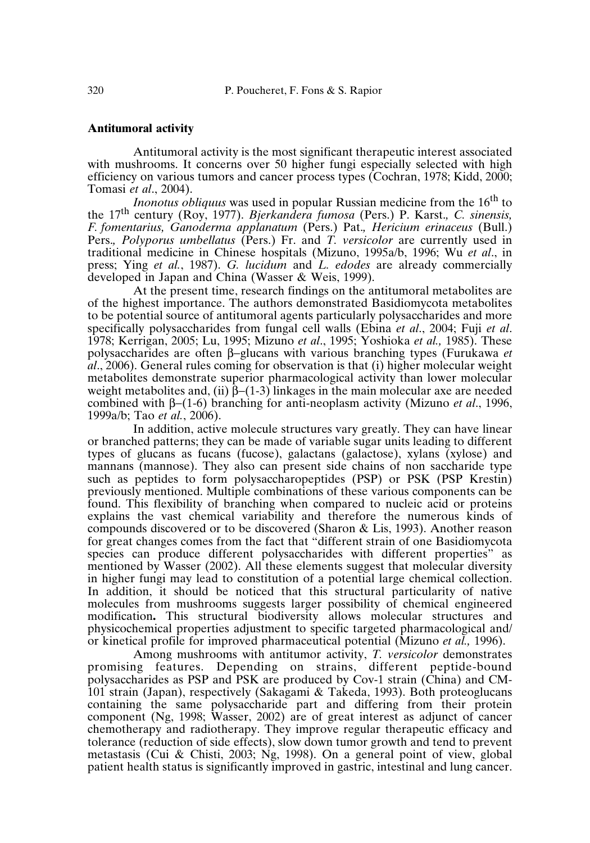# **Antitumoral activity**

Antitumoral activity is the most significant therapeutic interest associated with mushrooms. It concerns over 50 higher fungi especially selected with high efficiency on various tumors and cancer process types (Cochran, 1978; Kidd, 2000; Tomasi *et al*., 2004).

*Inonotus obliquus* was used in popular Russian medicine from the 16<sup>th</sup> to the 17 th century (Roy, 1977). *Bjerkandera fumosa* (Pers.) P. Karst.*, C. sinensis, F. fomentarius, Ganoderma applanatum* (Pers.) Pat.*, Hericium erinaceus* (Bull.) Pers.*, Polyporus umbellatus* (Pers.) Fr. and *T. versicolor* are currently used in traditional medicine in Chinese hospitals (Mizuno, 1995a/b, 1996; Wu *et al*., in press; Ying *et al.*, 1987). *G. lucidum* and *L. edodes* are already commercially developed in Japan and China (Wasser & Weis, 1999).

At the present time, research findings on the antitumoral metabolites are of the highest importance. The authors demonstrated Basidiomycota metabolites to be potential source of antitumoral agents particularly polysaccharides and more specifically polysaccharides from fungal cell walls (Ebina *et al*., 2004; Fuji *et al*. 1978; Kerrigan, 2005; Lu, 1995; Mizuno *et al*., 1995; Yoshioka *et al.,* 1985). These polysaccharides are often β−glucans with various branching types (Furukawa *et al*., 2006). General rules coming for observation is that (i) higher molecular weight metabolites demonstrate superior pharmacological activity than lower molecular weight metabolites and, (ii)  $\beta$ −(1-3) linkages in the main molecular axe are needed combined with β−(1-6) branching for anti-neoplasm activity (Mizuno *et al*., 1996, 1999a/b; Tao *et al.*, 2006).

In addition, active molecule structures vary greatly. They can have linear or branched patterns; they can be made of variable sugar units leading to different types of glucans as fucans (fucose), galactans (galactose), xylans (xylose) and mannans (mannose). They also can present side chains of non saccharide type such as peptides to form polysaccharopeptides (PSP) or PSK (PSP Krestin) previously mentioned. Multiple combinations of these various components can be found. This flexibility of branching when compared to nucleic acid or proteins explains the vast chemical variability and therefore the numerous kinds of compounds discovered or to be discovered (Sharon & Lis, 1993). Another reason for great changes comes from the fact that "different strain of one Basidiomycota species can produce different polysaccharides with different properties" as mentioned by Wasser (2002). All these elements suggest that molecular diversity in higher fungi may lead to constitution of a potential large chemical collection. In addition, it should be noticed that this structural particularity of native molecules from mushrooms suggests larger possibility of chemical engineered modification**.** This structural biodiversity allows molecular structures and physicochemical properties adjustment to specific targeted pharmacological and/ or kinetical profile for improved pharmaceutical potential (Mizuno *et al.,* 1996).

Among mushrooms with antitumor activity, *T. versicolor* demonstrates promising features. Depending on strains, different peptide-bound polysaccharides as PSP and PSK are produced by Cov-1 strain (China) and CM-101 strain (Japan), respectively (Sakagami & Takeda, 1993). Both proteoglucans containing the same polysaccharide part and differing from their protein component (Ng, 1998; Wasser, 2002) are of great interest as adjunct of cancer chemotherapy and radiotherapy. They improve regular therapeutic efficacy and tolerance (reduction of side effects), slow down tumor growth and tend to prevent metastasis (Cui & Chisti, 2003; Ng, 1998). On a general point of view, global patient health status is significantly improved in gastric, intestinal and lung cancer.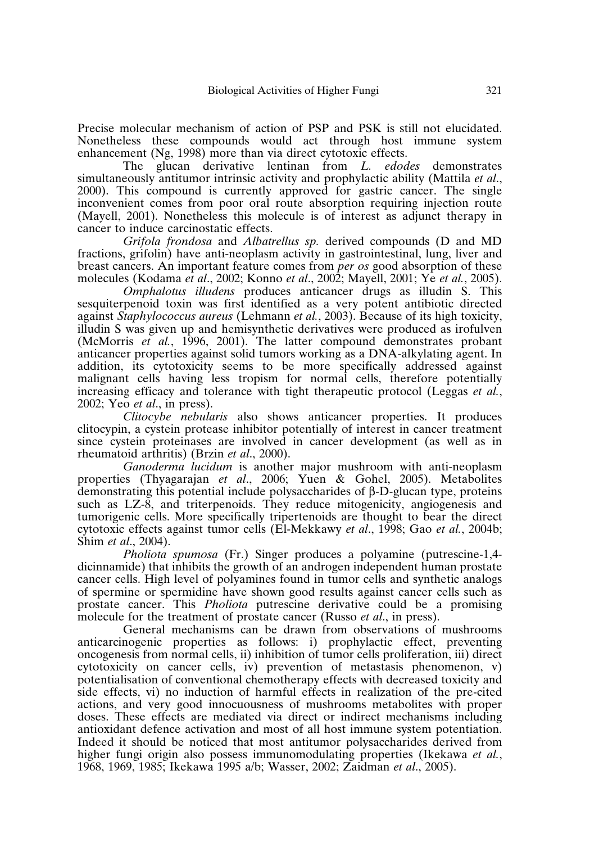Precise molecular mechanism of action of PSP and PSK is still not elucidated. Nonetheless these compounds would act through host immune system enhancement (Ng, 1998) more than via direct cytotoxic effects.

The glucan derivative lentinan from *L. edodes* demonstrates simultaneously antitumor intrinsic activity and prophylactic ability (Mattila *et al*., 2000). This compound is currently approved for gastric cancer. The single inconvenient comes from poor oral route absorption requiring injection route (Mayell, 2001). Nonetheless this molecule is of interest as adjunct therapy in cancer to induce carcinostatic effects.

*Grifola frondosa* and *Albatrellus sp.* derived compounds (D and MD fractions, grifolin) have anti-neoplasm activity in gastrointestinal, lung, liver and breast cancers. An important feature comes from *per os* good absorption of these molecules (Kodama *et al*., 2002; Konno *et al*., 2002; Mayell, 2001; Ye *et al.*, 2005).

*Omphalotus illudens* produces anticancer drugs as illudin S. This sesquiterpenoid toxin was first identified as a very potent antibiotic directed against *Staphylococcus aureus* (Lehmann *et al.*, 2003). Because of its high toxicity, illudin S was given up and hemisynthetic derivatives were produced as irofulven (McMorris *et al.*, 1996, 2001). The latter compound demonstrates probant anticancer properties against solid tumors working as a DNA-alkylating agent. In addition, its cytotoxicity seems to be more specifically addressed against malignant cells having less tropism for normal cells, therefore potentially increasing efficacy and tolerance with tight therapeutic protocol (Leggas *et al.*, 2002; Yeo *et al*., in press).

*Clitocybe nebularis* also shows anticancer properties. It produces clitocypin, a cystein protease inhibitor potentially of interest in cancer treatment since cystein proteinases are involved in cancer development (as well as in rheumatoid arthritis) (Brzin *et al*., 2000).

*Ganoderma lucidum* is another major mushroom with anti-neoplasm properties (Thyagarajan *et al*., 2006; Yuen & Gohel, 2005). Metabolites demonstrating this potential include polysaccharides of β-D-glucan type, proteins such as LZ-8, and triterpenoids. They reduce mitogenicity, angiogenesis and tumorigenic cells. More specifically tripertenoids are thought to bear the direct cytotoxic effects against tumor cells (El-Mekkawy *et al*., 1998; Gao *et al.*, 2004b; Shim *et al*., 2004).

*Pholiota spumosa* (Fr.) Singer produces a polyamine (putrescine-1,4 dicinnamide) that inhibits the growth of an androgen independent human prostate cancer cells. High level of polyamines found in tumor cells and synthetic analogs of spermine or spermidine have shown good results against cancer cells such as prostate cancer. This *Pholiota* putrescine derivative could be a promising molecule for the treatment of prostate cancer (Russo *et al*., in press).

General mechanisms can be drawn from observations of mushrooms anticarcinogenic properties as follows: i) prophylactic effect, preventing oncogenesis from normal cells, ii) inhibition of tumor cells proliferation, iii) direct cytotoxicity on cancer cells, iv) prevention of metastasis phenomenon, v) potentialisation of conventional chemotherapy effects with decreased toxicity and side effects, vi) no induction of harmful effects in realization of the pre-cited actions, and very good innocuousness of mushrooms metabolites with proper doses. These effects are mediated via direct or indirect mechanisms including antioxidant defence activation and most of all host immune system potentiation. Indeed it should be noticed that most antitumor polysaccharides derived from higher fungi origin also possess immunomodulating properties (Ikekawa *et al.*, 1968, 1969, 1985; Ikekawa 1995 a/b; Wasser, 2002; Zaidman *et al*., 2005).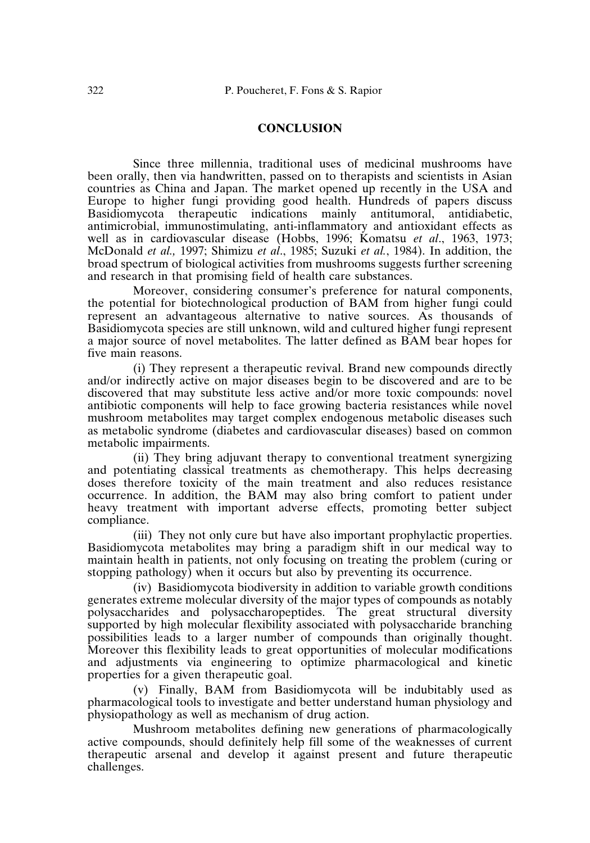# **CONCLUSION**

Since three millennia, traditional uses of medicinal mushrooms have been orally, then via handwritten, passed on to therapists and scientists in Asian countries as China and Japan. The market opened up recently in the USA and Europe to higher fungi providing good health. Hundreds of papers discuss Basidiomycota therapeutic indications mainly antitumoral, antidiabetic, antimicrobial, immunostimulating, anti-inflammatory and antioxidant effects as well as in cardiovascular disease (Hobbs, 1996; Komatsu *et al*., 1963, 1973; McDonald *et al.,* 1997; Shimizu *et al*., 1985; Suzuki *et al.*, 1984). In addition, the broad spectrum of biological activities from mushrooms suggests further screening and research in that promising field of health care substances.

Moreover, considering consumer's preference for natural components, the potential for biotechnological production of BAM from higher fungi could represent an advantageous alternative to native sources. As thousands of Basidiomycota species are still unknown, wild and cultured higher fungi represent a major source of novel metabolites. The latter defined as BAM bear hopes for five main reasons.

(i) They represent a therapeutic revival. Brand new compounds directly and/or indirectly active on major diseases begin to be discovered and are to be discovered that may substitute less active and/or more toxic compounds: novel antibiotic components will help to face growing bacteria resistances while novel mushroom metabolites may target complex endogenous metabolic diseases such as metabolic syndrome (diabetes and cardiovascular diseases) based on common metabolic impairments.

(ii) They bring adjuvant therapy to conventional treatment synergizing and potentiating classical treatments as chemotherapy. This helps decreasing doses therefore toxicity of the main treatment and also reduces resistance occurrence. In addition, the BAM may also bring comfort to patient under heavy treatment with important adverse effects, promoting better subject compliance.

(iii) They not only cure but have also important prophylactic properties. Basidiomycota metabolites may bring a paradigm shift in our medical way to maintain health in patients, not only focusing on treating the problem (curing or stopping pathology) when it occurs but also by preventing its occurrence.

(iv) Basidiomycota biodiversity in addition to variable growth conditions generates extreme molecular diversity of the major types of compounds as notably polysaccharides and polysaccharopeptides. The great structural diversity supported by high molecular flexibility associated with polysaccharide branching possibilities leads to a larger number of compounds than originally thought. Moreover this flexibility leads to great opportunities of molecular modifications and adjustments via engineering to optimize pharmacological and kinetic properties for a given therapeutic goal.

(v) Finally, BAM from Basidiomycota will be indubitably used as pharmacological tools to investigate and better understand human physiology and physiopathology as well as mechanism of drug action.

Mushroom metabolites defining new generations of pharmacologically active compounds, should definitely help fill some of the weaknesses of current therapeutic arsenal and develop it against present and future therapeutic challenges.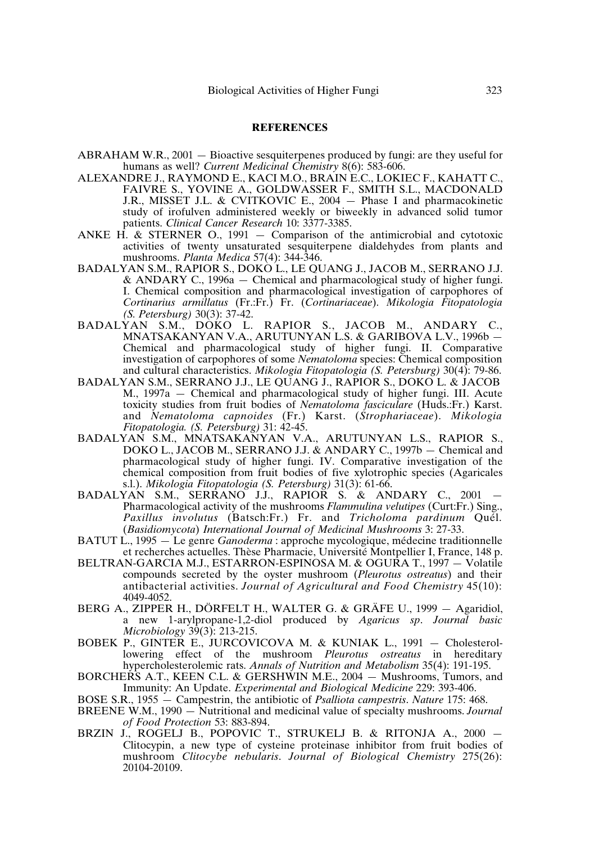#### **REFERENCES**

- ABRAHAM W.R., 2001 Bioactive sesquiterpenes produced by fungi: are they useful for humans as well? *Current Medicinal Chemistry* 8(6): 583-606.
- ALEXANDRE J., RAYMOND E., KACI M.O., BRAIN E.C., LOKIEC F., KAHATT C., FAIVRE S., YOVINE A., GOLDWASSER F., SMITH S.L., MACDONALD J.R., MISSET J.L. & CVITKOVIC E., 2004 — Phase I and pharmacokinetic study of irofulven administered weekly or biweekly in advanced solid tumor patients. *Clinical Cancer Research* 10: 3377-3385.
- ANKE H. & STERNER O., 1991 Comparison of the antimicrobial and cytotoxic activities of twenty unsaturated sesquiterpene dialdehydes from plants and mushrooms. *Planta Medica* 57(4): 344-346.
- BADALYAN S.M., RAPIOR S., DOKO L., LE QUANG J., JACOB M., SERRANO J.J. & ANDARY C., 1996a — Chemical and pharmacological study of higher fungi. I. Chemical composition and pharmacological investigation of carpophores of *Cortinarius armillatus* (Fr.:Fr.) Fr. (*Cortinariaceae*). *Mikologia Fitopatologia (S. Petersburg)* 30(3): 37-42.
- BADALYAN S.M., DOKO L. RAPIOR S., JACOB M., ANDARY C., MNATSAKANYAN V.A., ARUTUNYAN L.S. & GARIBOVA L.V., 1996b — Chemical and pharmacological study of higher fungi. II. Comparative investigation of carpophores of some *Nematoloma* species: Chemical composition and cultural characteristics. *Mikologia Fitopatologia (S. Petersburg)* 30(4): 79-86.
- BADALYAN S.M., SERRANO J.J., LE QUANG J., RAPIOR S., DOKO L. & JACOB M., 1997a — Chemical and pharmacological study of higher fungi. III. Acute toxicity studies from fruit bodies of *Nematoloma fasciculare* (Huds.:Fr.) Karst. and *Nematoloma capnoides* (Fr.) Karst. (*Strophariaceae*). *Mikologia Fitopatologia. (S. Petersburg)* 31: 42-45.
- BADALYAN S.M., MNATSAKANYAN V.A., ARUTUNYAN L.S., RAPIOR S., DOKO L., JACOB M., SERRANO J.J. & ANDARY C., 1997b – Chemical and pharmacological study of higher fungi. IV. Comparative investigation of the chemical composition from fruit bodies of five xylotrophic species (Agaricales s.l.). *Mikologia Fitopatologia (S. Petersburg)* 31(3): 61-66.
- BADALYAN S.M., SERRANO J.J., RAPIOR S. & ANDARY C., 2001 Pharmacological activity of the mushrooms *Flammulina velutipes* (Curt:Fr.) Sing., *Paxillus involutus* (Batsch:Fr.) Fr. and *Tricholoma pardinum* Quél. (*Basidiomycota*) *International Journal of Medicinal Mushrooms* 3: 27-33.
- BATUT L., 1995 Le genre *Ganoderma* : approche mycologique, médecine traditionnelle et recherches actuelles. Thèse Pharmacie, Université Montpellier I, France, 148 p.
- BELTRAN-GARCIA M.J., ESTARRON-ESPINOSA M. & OGURA T., 1997 Volatile compounds secreted by the oyster mushroom (*Pleurotus ostreatus*) and their antibacterial activities. *Journal of Agricultural and Food Chemistry* 45(10): 4049-4052.
- BERG A., ZIPPER H., DÖRFELT H., WALTER G. & GRÄFE U., 1999 Agaridiol, a new 1-arylpropane-1,2-diol produced by *Agaricus sp*. *Journal basic Microbiology* 39(3): 213-215.
- BOBEK P., GINTER E., JURCOVICOVA M. & KUNIAK L., 1991 Cholesterollowering effect of the mushroom *Pleurotus ostreatus* in hereditary hypercholesterolemic rats. *Annals of Nutrition and Metabolism* 35(4): 191-195.
- BORCHERS A.T., KEEN C.L. & GERSHWIN M.E., 2004 Mushrooms, Tumors, and Immunity: An Update. *Experimental and Biological Medicine* 229: 393-406.
- BOSE S.R., 1955 Campestrin, the antibiotic of *Psalliota campestris*. *Nature* 175: 468.
- BREENE W.M., 1990 Nutritional and medicinal value of specialty mushrooms. *Journal of Food Protection* 53: 883-894.
- BRZIN J., ROGELJ B., POPOVIC T., STRUKELJ B. & RITONJA A., 2000 Clitocypin, a new type of cysteine proteinase inhibitor from fruit bodies of mushroom *Clitocybe nebularis*. *Journal of Biological Chemistry* 275(26): 20104-20109.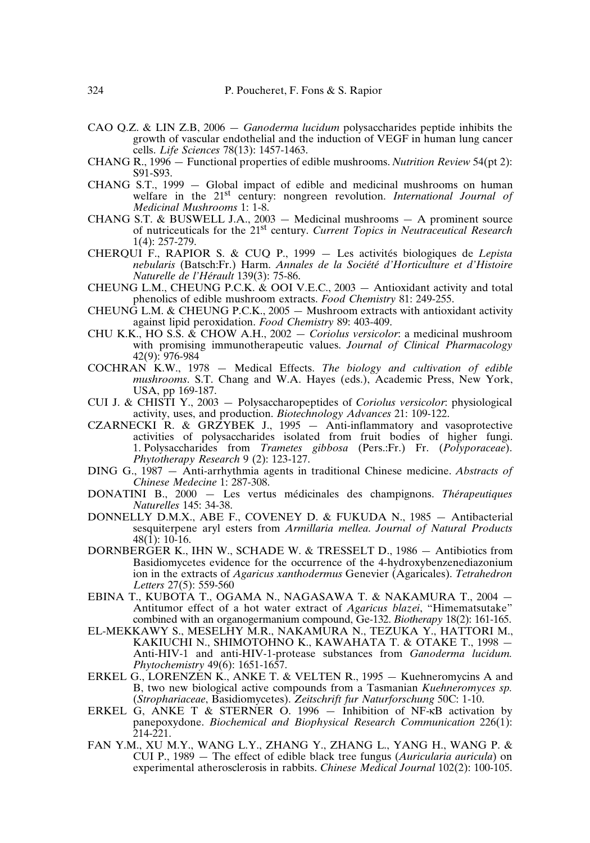- CAO Q.Z. & LIN Z.B, 2006 *Ganoderma lucidum* polysaccharides peptide inhibits the growth of vascular endothelial and the induction of VEGF in human lung cancer cells. *Life Sciences* 78(13): 1457-1463.
- CHANG R., 1996 Functional properties of edible mushrooms. *Nutrition Review* 54(pt 2): S91-S93.
- CHANG S.T., 1999 Global impact of edible and medicinal mushrooms on human welfare in the 21<sup>st</sup> century: nongreen revolution. *International Journal of Medicinal Mushrooms* 1: 1-8.
- CHANG S.T. & BUSWELL J.A., 2003 Medicinal mushrooms A prominent source of nutriceuticals for the 21 st century. *Current Topics in Neutraceutical Research* 1(4): 257-279.
- CHERQUI F., RAPIOR S. & CUQ P., 1999 Les activités biologiques de *Lepista nebularis* (Batsch:Fr.) Harm. *Annales de la Société d'Horticulture et d'Histoire Naturelle de l'Hérault* 139(3): 75-86.
- CHEUNG L.M., CHEUNG P.C.K. & OOI V.E.C., 2003 Antioxidant activity and total phenolics of edible mushroom extracts. *Food Chemistry* 81: 249-255.
- CHEUNG L.M. & CHEUNG P.C.K., 2005 Mushroom extracts with antioxidant activity against lipid peroxidation. *Food Chemistry* 89: 403-409.
- CHU K.K., HO S.S. & CHOW A.H., 2002 *Coriolus versicolor*: a medicinal mushroom with promising immunotherapeutic values. *Journal of Clinical Pharmacology*  $42(9)$ : 976-984
- COCHRAN K.W., 1978 Medical Effects. *The biology and cultivation of edible mushrooms*. S.T. Chang and W.A. Hayes (eds.), Academic Press, New York, USA, pp 169-187.
- CUI J. & CHISTI Y., 2003 Polysaccharopeptides of *Coriolus versicolor*: physiological activity, uses, and production. *Biotechnology Advances* 21: 109-122.
- CZARNECKI R. & GRZYBEK J., 1995 Anti-inflammatory and vasoprotective activities of polysaccharides isolated from fruit bodies of higher fungi. 1. Polysaccharides from *Trametes gibbosa* (Pers.:Fr.) Fr. (*Polyporaceae*). *Phytotherapy Research* 9 (2): 123-127.
- DING G., 1987 Anti-arrhythmia agents in traditional Chinese medicine. *Abstracts of Chinese Medecine* 1: 287-308.
- DONATINI B., 2000 Les vertus médicinales des champignons. *Thérapeutiques Naturelles* 145: 34-38.
- DONNELLY D.M.X., ABE F., COVENEY D. & FUKUDA N., 1985 Antibacterial sesquiterpene aryl esters from *Armillaria mellea*. *Journal of Natural Products*  $48(1)$ : 10-16.
- DORNBERGER K., IHN W., SCHADE W. & TRESSELT D., 1986 Antibiotics from Basidiomycetes evidence for the occurrence of the 4-hydroxybenzenediazonium ion in the extracts of *Agaricus xanthodermus* Genevier (Agaricales). *Tetrahedron Letters* 27(5): 559-560
- EBINA T., KUBOTA T., OGAMA N., NAGASAWA T. & NAKAMURA T., 2004 Antitumor effect of a hot water extract of *Agaricus blazei*, "Himematsutake" combined with an organogermanium compound, Ge-132. *Biotherapy* 18(2): 161-165.
- EL-MEKKAWY S., MESELHY M.R., NAKAMURA N., TEZUKA Y., HATTORI M., KAKIUCHI N., SHIMOTOHNO K., KAWAHATA T. & OTAKE T., 1998 — Anti-HIV-1 and anti-HIV-1-protease substances from *Ganoderma lucidum. Phytochemistry* 49(6): 1651-1657.
- ERKEL G., LORENZEN K., ANKE T. & VELTEN R., 1995 Kuehneromycins A and B, two new biological active compounds from a Tasmanian *Kuehneromyces sp.* (*Strophariaceae*, Basidiomycetes). *Zeitschrift fur Naturforschung* 50C: 1-10.
- ERKEL G, ANKE T & STERNER O. 1996 Inhibition of NF-κB activation by panepoxydone. *Biochemical and Biophysical Research Communication* 226(1):  $214 - 221$ .
- FAN Y.M., XU M.Y., WANG L.Y., ZHANG Y., ZHANG L., YANG H., WANG P. & CUI P., 1989 — The effect of edible black tree fungus (*Auricularia auricula*) on experimental atherosclerosis in rabbits. *Chinese Medical Journal* 102(2): 100-105.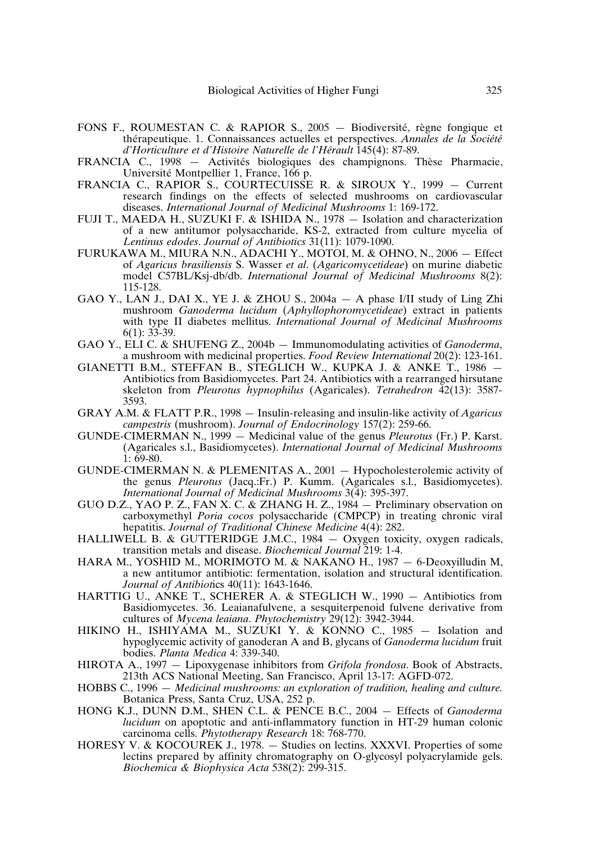- FONS F., ROUMESTAN C. & RAPIOR S., 2005 Biodiversité, règne fongique et thérapeutique. 1. Connaissances actuelles et perspectives. *Annales de la Société d'Horticulture et d'Histoire Naturelle de l'Hérault* 145(4): 87-89.
- FRANCIA C., 1998 Activités biologiques des champignons. Thèse Pharmacie, Université Montpellier 1, France, 166 p.
- FRANCIA C., RAPIOR S., COURTECUISSE R. & SIROUX Y., 1999 Current research findings on the effects of selected mushrooms on cardiovascular diseases. *International Journal of Medicinal Mushrooms* 1: 169-172.
- FUJI T., MAEDA H., SUZUKI F. & ISHIDA N., 1978 Isolation and characterization MAEDA H., SUZUNI F.  $\alpha$  is index is,  $1/10 = 130$  and the conservation of a new antitumor polysaccharide, KS-2, extracted from culture mycelia of *Lentinus edodes*. *Journal of Antibiotics* 31(11): 1079-1090.
- FURUKAWA M., MIURA N.N., ADACHI Y., MOTOI, M. & OHNO, N., 2006 Effect of *Agaricus brasiliensis* S. Wasser *et al*. (*Agaricomycetideae*) on murine diabetic model C57BL/Ksj-db/db. *International Journal of Medicinal Mushrooms* 8(2): 115-128.
- GAO Y., LAN J., DAI X., YE J. & ZHOU S., 2004a A phase I/II study of Ling Zhi mushroom *Ganoderma lucidum* (*Aphyllophoromycetideae*) extract in patients with type II diabetes mellitus. *International Journal of Medicinal Mushrooms*  $6(1)$ :  $3\overline{3}$ -39.
- GAO Y., ELI C. & SHUFENG Z., 2004b Immunomodulating activities of *Ganoderma*, a mushroom with medicinal properties. *Food Review International* 20(2): 123-161.
- GIANETTI B.M., STEFFAN B., STEGLICH W., KUPKA J. & ANKE T., 1986 Antibiotics from Basidiomycetes. Part 24. Antibiotics with a rearranged hirsutane skeleton from *Pleurotus hypnophilus* (Agaricales). *Tetrahedron* 42(13): 3587- 3593.
- GRAY A.M. & FLATT P.R., 1998 Insulin-releasing and insulin-like activity of *Agaricus campestris* (mushroom). *Journal of Endocrinology* 157(2): 259-66.
- GUNDE-CIMERMAN N., 1999 Medicinal value of the genus *Pleurotus* (Fr.) P. Karst. (Agaricales s.l., Basidiomycetes). *International Journal of Medicinal Mushrooms*  $1: 69-80.$
- GUNDE-CIMERMAN N. & PLEMENITAS A., 2001 Hypocholesterolemic activity of the genus *Pleurotus* (Jacq.:Fr.) P. Kumm. (Agaricales s.l., Basidiomycetes). *International Journal of Medicinal Mushrooms* 3(4): 395-397.
- GUO D.Z., YAO P. Z., FAN X. C. & ZHANG H. Z.,  $1984 -$  Preliminary observation on carboxymethyl *Poria cocos* polysaccharide (CMPCP) in treating chronic viral hepatitis. *Journal of Traditional Chinese Medicine* 4(4): 282.
- HALLIWELL B. & GUTTERIDGE J.M.C., 1984 Oxygen toxicity, oxygen radicals, transition metals and disease. *Biochemical Journal* 219: 1-4.
- HARA M., YOSHID M., MORIMOTO M. & NAKANO H., 1987 6-Deoxyilludin M, a new antitumor antibiotic: fermentation, isolation and structural identification. *Journal of Antibiot*ics 40(11): 1643-1646.
- HARTTIG U., ANKE T., SCHERER A. & STEGLICH W., 1990 Antibiotics from Basidiomycetes. 36. Leaianafulvene, a sesquiterpenoid fulvene derivative from cultures of *Mycena leaiana*. *Phytochemistry* 29(12): 3942-3944.
- HIKINO H., ISHIYAMA M., SUZUKI Y. & KONNO C., 1985 Isolation and hypoglycemic activity of ganoderan A and B, glycans of *Ganoderma lucidum* fruit bodies. *Planta Medica* 4: 339-340.
- HIROTA A., 1997 Lipoxygenase inhibitors from *Grifola frondosa*. Book of Abstracts, 213th ACS National Meeting, San Francisco, April 13-17: AGFD-072.
- HOBBS C., 1996 *Medicinal mushrooms: an exploration of tradition, healing and culture*. Botanica Press, Santa Cruz, USA, 252 p.
- HONG K.J., DUNN D.M., SHEN C.L. & PENCE B.C., 2004 Effects of *Ganoderma lucidum* on apoptotic and anti-inflammatory function in HT-29 human colonic carcinoma cells. *Phytotherapy Research* 18: 768-770.
- HORESY V. & KOCOUREK J., 1978. Studies on lectins. XXXVI. Properties of some lectins prepared by affinity chromatography on O-glycosyl polyacrylamide gels. *Biochemica & Biophysica Acta* 538(2): 299-315.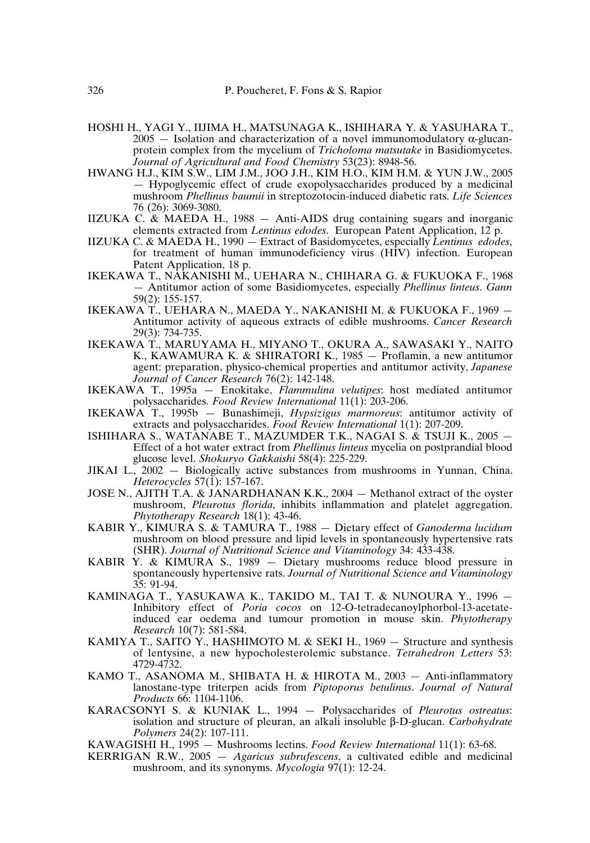- HOSHI H., YAGI Y., IIJIMA H., MATSUNAGA K., ISHIHARA Y. & YASUHARA T.,  $2005$  – Isolation and characterization of a novel immunomodulatory  $\alpha$ -glucanprotein complex from the mycelium of *Tricholoma matsutake* in Basidiomycetes. *Journal of Agricultural and Food Chemistry* 53(23): 8948-56.
- HWANG H.J., KIM S.W., LIM J.M., JOO J.H., KIM H.O., KIM H.M. & YUN J.W., 2005 — Hypoglycemic effect of crude exopolysaccharides produced by a medicinal mushroom *Phellinus baumii* in streptozotocin-induced diabetic rats. *Life Sciences* 76 (26): 3069-3080.
- IIZUKA C. & MAEDA H., 1988 Anti-AIDS drug containing sugars and inorganic elements extracted from *Lentinus edodes*. European Patent Application, 12 p.
- IIZUKA C. & MAEDA H., 1990 Extract of Basidomycetes, especially *Lentinus edodes*, for treatment of human immunodeficiency virus (HIV) infection. European Patent Application, 18 p.
- IKEKAWA T., NAKANISHI M., UEHARA N., CHIHARA G. & FUKUOKA F., 1968 — Antitumor action of some Basidiomycetes, especially *Phellinus linteus*. *Gann* 59(2): 155-157.
- IKEKAWA T., UEHARA N., MAEDA Y., NAKANISHI M. & FUKUOKA F., 1969 Antitumor activity of aqueous extracts of edible mushrooms. *Cancer Research* 29(3): 734-735.
- IKEKAWA T., MARUYAMA H., MIYANO T., OKURA A., SAWASAKI Y., NAITO K., KAWAMURA K. & SHIRATORI K., 1985 — Proflamin, a new antitumor agent: preparation, physico-chemical properties and antitumor activity, *Japanese Journal of Cancer Research* 76(2): 142-148.
- IKEKAWA T., 1995a Enokitake, *Flammulina velutipes*: host mediated antitumor polysaccharides. *Food Review International* 11(1): 203-206.
- IKEKAWA T., 1995b Bunashimeji, *Hypsizigus marmoreus*: antitumor activity of extracts and polysaccharides. *Food Review International* 1(1): 207-209.
- ISHIHARA S., WATANABE T., MAZUMDER T.K., NAGAI S. & TSUJI K., 2005 Effect of a hot water extract from *Phellinus linteus* mycelia on postprandial blood glucose level. *Shokuryo Gakkaishi* 58(4): 225-229.
- JIKAI L., 2002 Biologically active substances from mushrooms in Yunnan, China. *Heterocycles* 57(1): 157-167.
- JOSE N., AJITH T.A. & JANARDHANAN K.K., 2004 Methanol extract of the oyster mushroom, *Pleurotus florida*, inhibits inflammation and platelet aggregation. *Phytotherapy Research* 18(1): 43-46.
- KABIR Y., KIMURA S. & TAMURA T., 1988 Dietary effect of *Ganoderma lucidum* mushroom on blood pressure and lipid levels in spontaneously hypertensive rats (SHR). *Journal of Nutritional Science and Vitaminology* 34: 433-438.
- KABIR Y. & KIMURA S., 1989 Dietary mushrooms reduce blood pressure in spontaneously hypertensive rats. *Journal of Nutritional Science and Vitaminology* 35: 91-94.
- KAMINAGA T., YASUKAWA K., TAKIDO M., TAI T. & NUNOURA Y., 1996 Inhibitory effect of *Poria cocos* on 12-O-tetradecanoylphorbol-13-acetateinduced ear oedema and tumour promotion in mouse skin. *Phytotherapy Research* 10(7): 581-584.
- KAMIYA T., SAITO  $\check{Y}$ ., HASHIMOTO M. & SEKI H., 1969 Structure and synthesis of lentysine, a new hypocholesterolemic substance. *Tetrahedron Letters* 53: 4729-4732.
- KAMO T., ASANOMA M., SHIBATA H. & HIROTA M., 2003 Anti-inflammatory lanostane-type triterpen acids from *Piptoporus betulinus*. *Journal of Natural Products* 66: 1104-1106.
- KARACSONYI S. & KUNIAK L., 1994 Polysaccharides of *Pleurotus ostreatus*: isolation and structure of pleuran, an alkali insoluble β-D-glucan. *Carbohydrate Polymers* 24(2): 107-111.
- KAWAGISHI H., 1995 Mushrooms lectins. *Food Review International* 11(1): 63-68.
- KERRIGAN R.W., 2005 *Agaricus subrufescens*, a cultivated edible and medicinal mushroom, and its synonyms. *Mycologia* 97(1): 12-24.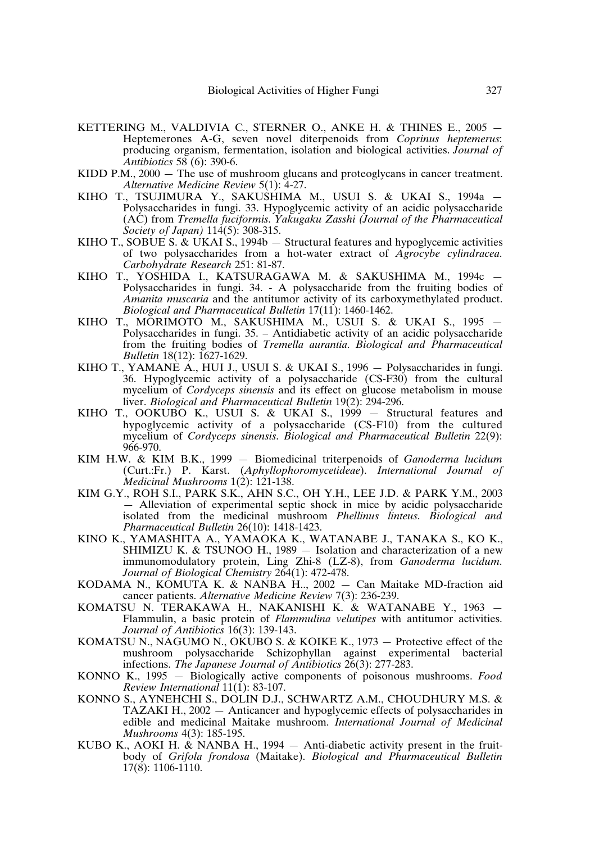- KETTERING M., VALDIVIA C., STERNER O., ANKE H. & THINES E., 2005 Heptemerones A-G, seven novel diterpenoids from *Coprinus heptemerus*: producing organism, fermentation, isolation and biological activities. *Journal of Antibiotics* 58 (6): 390-6.
- KIDD P.M., 2000 The use of mushroom glucans and proteoglycans in cancer treatment. *Alternative Medicine Review* 5(1): 4-27.
- KIHO T., TSUJIMURA Y., SAKUSHIMA M., USUI S. & UKAI S., 1994a Polysaccharides in fungi. 33. Hypoglycemic activity of an acidic polysaccharide (AC) from *Tremella fuciformis*. *Yakugaku Zasshi (Journal of the Pharmaceutical Society of Japan)* 114(5): 308-315.
- KIHO T., SOBUE S. & UKAI S., 1994b Structural features and hypoglycemic activities of two polysaccharides from a hot-water extract of *Agrocybe cylindracea*. *Carbohydrate Research* 251: 81-87.
- KIHO T., YOSHIDA I., KATSURAGAWA M. & SAKUSHIMA M., 1994c Polysaccharides in fungi. 34. - A polysaccharide from the fruiting bodies of *Amanita muscaria* and the antitumor activity of its carboxymethylated product. *Biological and Pharmaceutical Bulletin* 17(11): 1460-1462.
- KIHO T., MORIMOTO M., SAKUSHIMA M., USUI S. & UKAI S., 1995 Polysaccharides in fungi. 35. – Antidiabetic activity of an acidic polysaccharide from the fruiting bodies of *Tremella aurantia*. *Biological and Pharmaceutical Bulletin* 18(12): 1627-1629.
- KIHO T., YAMANE A., HUI J., USUI S. & UKAI S., 1996  $-$  Polysaccharides in fungi. 36. Hypoglycemic activity of a polysaccharide (CS-F30) from the cultural mycelium of *Cordyceps sinensis* and its effect on glucose metabolism in mouse liver. *Biological and Pharmaceutical Bulletin* 19(2): 294-296.
- KIHO T., OOKUBO K., USUI S. & UKAI S., 1999 Structural features and hypoglycemic activity of a polysaccharide (CS-F10) from the cultured mycelium of *Cordyceps sinensis*. *Biological and Pharmaceutical Bulletin* 22(9): 966-970.
- KIM H.W. & KIM B.K., 1999 Biomedicinal triterpenoids of *Ganoderma lucidum* (Curt.:Fr.) P. Karst. (*Aphyllophoromycetideae*). *International Journal of Medicinal Mushrooms* 1(2): 121-138.
- KIM G.Y., ROH S.I., PARK S.K., AHN S.C., OH Y.H., LEE J.D. & PARK Y.M., 2003 — Alleviation of experimental septic shock in mice by acidic polysaccharide isolated from the medicinal mushroom *Phellinus linteus*. *Biological and Pharmaceutical Bulletin* 26(10): 1418-1423.
- KINO K., YAMASHITA A., YAMAOKA K., WATANABE J., TANAKA S., KO K., SHIMIZU K. & TSUNOO H., 1989 — Isolation and characterization of a new immunomodulatory protein, Ling Zhi-8 (LZ-8), from *Ganoderma lucidum*. *Journal of Biological Chemistry* 264(1): 472-478.
- KODAMA N., KOMUTA K. & NANBA H.., 2002 Can Maitake MD-fraction aid cancer patients. *Alternative Medicine Review* 7(3): 236-239.
- KOMATSU N. TERAKAWA H., NAKANISHI K. & WATANABE Y., 1963 Flammulin, a basic protein of *Flammulina velutipes* with antitumor activities. *Journal of Antibiotics* 16(3): 139-143.
- KOMATSU N., NAGUMO N., OKUBO S. & KOIKE K., 1973 Protective effect of the mushroom polysaccharide Schizophyllan against experimental bacterial infections. *The Japanese Journal of Antibiotics* 26(3): 277-283.
- KONNO K., 1995 Biologically active components of poisonous mushrooms. *Food Review International* 11(1): 83-107.
- KONNO S., AYNEHCHI S., DOLIN D.J., SCHWARTZ A.M., CHOUDHURY M.S. & TAZAKI H., 2002 — Anticancer and hypoglycemic effects of polysaccharides in edible and medicinal Maitake mushroom. *International Journal of Medicinal Mushrooms* 4(3): 185-195.
- KUBO K., AOKI H.  $\&$  NANBA H., 1994  $-$  Anti-diabetic activity present in the fruitbody of *Grifola frondosa* (Maitake). *Biological and Pharmaceutical Bulletin* 17(8): 1106-1110.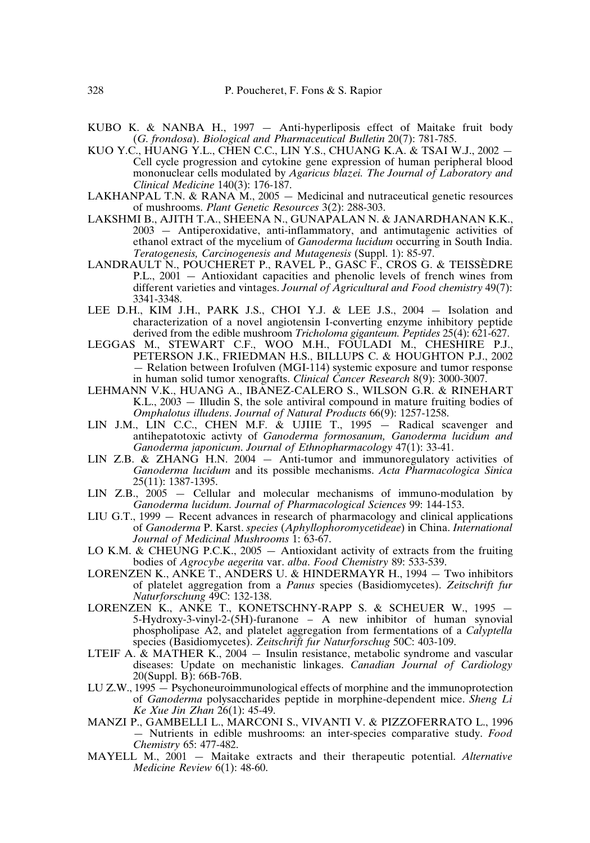- KUBO K. & NANBA H., 1997 Anti-hyperliposis effect of Maitake fruit body (*G. frondosa*). *Biological and Pharmaceutical Bulletin* 20(7): 781-785.
- KUO Y.C., HUANG Y.L., CHEN C.C., LIN Y.S., CHUANG K.A. & TSAI W.J., 2002 -Cell cycle progression and cytokine gene expression of human peripheral blood mononuclear cells modulated by *Agaricus blazei. The Journal of Laboratory and Clinical Medicine* 140(3): 176-187.
- LAKHANPAL T.N. & RANA M., 2005 Medicinal and nutraceutical genetic resources of mushrooms. *Plant Genetic Resources* 3(2): 288-303.
- LAKSHMI B., AJITH T.A., SHEENA N., GUNAPALAN N. & JANARDHANAN K.K., 2003 — Antiperoxidative, anti-inflammatory, and antimutagenic activities of ethanol extract of the mycelium of *Ganoderma lucidum* occurring in South India. *Teratogenesis, Carcinogenesis and Mutagenesis* (Suppl. 1): 85-97.
- LANDRAULT N., POUCHERET P., RAVEL P., GASC F., CROS G. & TEISSÈDRE P.L., 2001 — Antioxidant capacities and phenolic levels of french wines from different varieties and vintages. *Journal of Agricultural and Food chemistry* 49(7): 3341-3348.
- LEE D.H., KIM J.H., PARK J.S., CHOI Y.J. & LEE J.S., 2004 Isolation and characterization of a novel angiotensin I-converting enzyme inhibitory peptide derived from the edible mushroom *Tricholoma giganteum. Peptides* 25(4): 621-627.
- LEGGAS M., STEWART C.F., WOO M.H., FOULADI M., CHESHIRE P.J., PETERSON J.K., FRIEDMAN H.S., BILLUPS C. & HOUGHTON P.J., 2002 — Relation between Irofulven (MGI-114) systemic exposure and tumor response in human solid tumor xenografts. *Clinical Cancer Research* 8(9): 3000-3007.
- LEHMANN V.K., HUANG A., IBANEZ-CALERO S., WILSON G.R. & RINEHART K.L., 2003 — Illudin S, the sole antiviral compound in mature fruiting bodies of *Omphalotus illudens*. *Journal of Natural Products* 66(9): 1257-1258.
- LIN J.M., LIN C.C., CHEN M.F. & UJIIE T., 1995 Radical scavenger and antihepatotoxic activty of *Ganoderma formosanum, Ganoderma lucidum and Ganoderma japonicum*. *Journal of Ethnopharmacology* 47(1): 33-41.
- LIN Z.B. & ZHANG H.N. 2004 Anti-tumor and immunoregulatory activities of *Ganoderma lucidum* and its possible mechanisms. *Acta Pharmacologica Sinica* 25(11): 1387-1395.
- LIN Z.B., 2005 Cellular and molecular mechanisms of immuno-modulation by *Ganoderma lucidum. Journal of Pharmacological Sciences* 99: 144-153.
- LIU G.T., 1999 Recent advances in research of pharmacology and clinical applications of *Ganoderma* P. Karst. *species* (*Aphyllophoromycetideae*) in China. *International Journal of Medicinal Mushrooms* 1: 63-67.
- LO K.M. & CHEUNG P.C.K.,  $2005 -$  Antioxidant activity of extracts from the fruiting bodies of *Agrocybe aegerita* var. *alba*. *Food Chemistry* 89: 533-539.
- LORENZEN K., ANKE T., ANDERS U. & HINDERMAYR H., 1994 Two inhibitors of platelet aggregation from a *Panus* species (Basidiomycetes). *Zeitschrift fur Naturforschung* 49C: 132-138.
- LORENZEN K., ANKE T., KONETSCHNY-RAPP S. & SCHEUER W., 1995 5-Hydroxy-3-vinyl-2-(5H)-furanone – A new inhibitor of human synovial phospholipase A2, and platelet aggregation from fermentations of a *Calyptella* species (Basidiomycetes). *Zeitschrift fur Naturforschug* 50C: 403-109.
- LTEIF A. & MATHER K.,  $2004 -$  Insulin resistance, metabolic syndrome and vascular diseases: Update on mechanistic linkages. *Canadian Journal of Cardiology* 20(Suppl. B): 66B-76B.
- LU Z.W., 1995 Psychoneuroimmunological effects of morphine and the immunoprotection of *Ganoderma* polysaccharides peptide in morphine-dependent mice. *Sheng Li Ke Xue Jin Zhan* 26(1): 45-49.
- MANZI P., GAMBELLI L., MARCONI S., VIVANTI V. & PIZZOFERRATO L., 1996 — Nutrients in edible mushrooms: an inter-species comparative study. *Food Chemistry* 65: 477-482.
- MAYELL M., 2001 Maitake extracts and their therapeutic potential. *Alternative Medicine Review* 6(1): 48-60.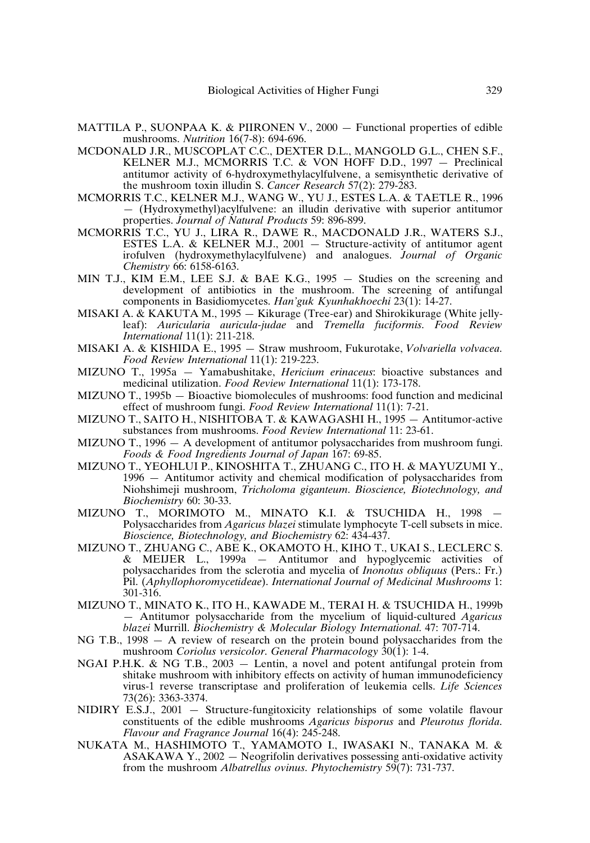- MATTILA P., SUONPAA K. & PIIRONEN V., 2000 Functional properties of edible mushrooms. *Nutrition* 16(7-8): 694-696.
- MCDONALD J.R., MUSCOPLAT C.C., DEXTER D.L., MANGOLD G.L., CHEN S.F., KELNER M.J., MCMORRIS T.C. & VON HOFF D.D., 1997 — Preclinical antitumor activity of 6-hydroxymethylacylfulvene, a semisynthetic derivative of the mushroom toxin illudin S. *Cancer Research* 57(2): 279-283.
- MCMORRIS T.C., KELNER M.J., WANG W., YU J., ESTES L.A. & TAETLE R., 1996 — (Hydroxymethyl)acylfulvene: an illudin derivative with superior antitumor properties. *Journal of Natural Products* 59: 896-899.
- MCMORRIS T.C., YU J., LIRA R., DAWE R., MACDONALD J.R., WATERS S.J., ESTES L.A. & KELNER M.J., 2001 — Structure-activity of antitumor agent irofulven (hydroxymethylacylfulvene) and analogues. *Journal of Organic Chemistry* 66: 6158-6163.
- MIN T.J., KIM E.M., LEE S.J. & BAE K.G., 1995 Studies on the screening and development of antibiotics in the mushroom. The screening of antifungal components in Basidiomycetes. *Han'guk Kyunhakhoechi* 23(1): 14-27.
- MISAKI A. & KAKUTA M., 1995 Kikurage (Tree-ear) and Shirokikurage (White jellyleaf): *Auricularia auricula-judae* and *Tremella fuciformis*. *Food Review International* 11(1): 211-218.
- MISAKI A. & KISHIDA E., 1995 Straw mushroom, Fukurotake, *Volvariella volvacea*. *Food Review International* 11(1): 219-223.
- MIZUNO T., 1995a Yamabushitake, *Hericium erinaceus*: bioactive substances and medicinal utilization. *Food Review International* 11(1): 173-178.
- MIZUNO T., 1995b Bioactive biomolecules of mushrooms: food function and medicinal effect of mushroom fungi. *Food Review International* 11(1): 7-21.
- MIZUNO T., SAITO H., NISHITOBA T. & KAWAGASHI H., 1995 Antitumor-active substances from mushrooms. *Food Review International* 11: 23-61.
- MIZUNO T., 1996 A development of antitumor polysaccharides from mushroom fungi. *Foods & Food Ingredients Journal of Japan* 167: 69-85.
- MIZUNO T., YEOHLUI P., KINOSHITA T., ZHUANG C., ITO H. & MAYUZUMI Y., 1996 — Antitumor activity and chemical modification of polysaccharides from Niohshimeji mushroom, *Tricholoma giganteum*. *Bioscience, Biotechnology, and Biochemistry* 60: 30-33.
- MIZUNO T., MORIMOTO M., MINATO K.I. & TSUCHIDA H., 1998 Polysaccharides from *Agaricus blazei* stimulate lymphocyte T-cell subsets in mice. *Bioscience, Biotechnology, and Biochemistry* 62: 434-437.
- MIZUNO T., ZHUANG C., ABE K., OKAMOTO H., KIHO T., UKAI S., LECLERC S. & MEIJER L., 1999a — Antitumor and hypoglycemic activities of polysaccharides from the sclerotia and mycelia of *Inonotus obliquus* (Pers.: Fr.) Pil. (*Aphyllophoromycetideae*). *International Journal of Medicinal Mushrooms* 1: 301-316.
- MIZUNO T., MINATO K., ITO H., KAWADE M., TERAI H. & TSUCHIDA H., 1999b — Antitumor polysaccharide from the mycelium of liquid-cultured *Agaricus blazei* Murrill. *Biochemistry & Molecular Biology International*. 47: 707-714.
- NG T.B., 1998 A review of research on the protein bound polysaccharides from the mushroom *Coriolus versicolor*. *General Pharmacology* 30(1): 1-4.
- NGAI P.H.K. & NG T.B., 2003 Lentin, a novel and potent antifungal protein from shitake mushroom with inhibitory effects on activity of human immunodeficiency virus-1 reverse transcriptase and proliferation of leukemia cells. *Life Sciences* 73(26): 3363-3374.
- NIDIRY E.S.J., 2001 Structure-fungitoxicity relationships of some volatile flavour constituents of the edible mushrooms *Agaricus bisporus* and *Pleurotus florida*. *Flavour and Fragrance Journal* 16(4): 245-248.
- NUKATA M., HASHIMOTO T., YAMAMOTO I., IWASAKI N., TANAKA M. & ASAKAWA Y., 2002 — Neogrifolin derivatives possessing anti-oxidative activity from the mushroom *Albatrellus ovinus*. *Phytochemistry* 59(7): 731-737.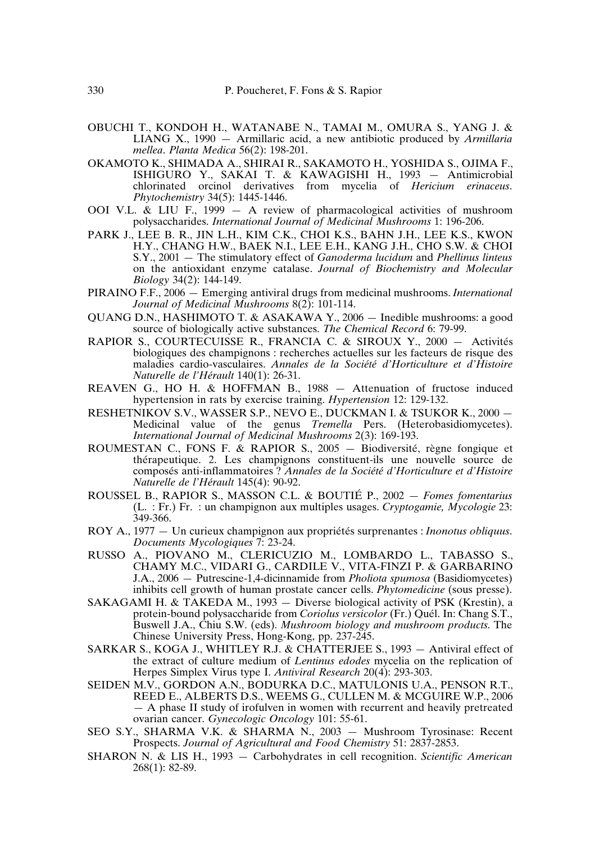- OBUCHI T., KONDOH H., WATANABE N., TAMAI M., OMURA S., YANG J. & LIANG X., 1990 — Armillaric acid, a new antibiotic produced by *Armillaria mellea*. *Planta Medica* 56(2): 198-201.
- OKAMOTO K., SHIMADA A., SHIRAI R., SAKAMOTO H., YOSHIDA S., OJIMA F., ISHIGURO Y., SAKAI T. & KAWAGISHI H., 1993 — Antimicrobial chlorinated orcinol derivatives from mycelia of *Hericium erinaceus*. *Phytochemistry* 34(5): 1445-1446.
- OOI V.L. & LIU F., 1999  $-$  A review of pharmacological activities of mushroom polysaccharides. *International Journal of Medicinal Mushrooms* 1: 196-206.
- PARK J., LEE B. R., JIN L.H., KIM C.K., CHOI K.S., BAHN J.H., LEE K.S., KWON H.Y., CHANG H.W., BAEK N.I., LEE E.H., KANG J.H., CHO S.W. & CHOI S.Y., 2001 — The stimulatory effect of *Ganoderma lucidum* and *Phellinus linteus* on the antioxidant enzyme catalase. *Journal of Biochemistry and Molecular Biology* 34(2): 144-149.
- PIRAINO F.F., 2006 Emerging antiviral drugs from medicinal mushrooms. *International Journal of Medicinal Mushrooms* 8(2): 101-114.
- QUANG D.N., HASHIMOTO T. & ASAKAWA Y., 2006 Inedible mushrooms: a good source of biologically active substances. *The Chemical Record* 6: 79-99.
- RAPIOR S., COURTECUISSE R., FRANCIA C. & SIROUX Y., 2000 Activités biologiques des champignons : recherches actuelles sur les facteurs de risque des maladies cardio-vasculaires. *Annales de la Société d'Horticulture et d'Histoire Naturelle de l'Hérault* 140(1): 26-31.
- REAVEN G., HO H. & HOFFMAN B., 1988 Attenuation of fructose induced hypertension in rats by exercise training. *Hypertension* 12: 129-132.
- RESHETNIKOV S.V., WASSER S.P., NEVO E., DUCKMAN I. & TSUKOR K., 2000 Medicinal value of the genus *Tremella* Pers. (Heterobasidiomycetes). *International Journal of Medicinal Mushrooms* 2(3): 169-193.
- ROUMESTAN C., FONS F. & RAPIOR S., 2005 Biodiversité, règne fongique et thérapeutique. 2. Les champignons constituent-ils une nouvelle source de composés anti-inflammatoires ? *Annales de la Société d'Horticulture et d'Histoire Naturelle de l'Hérault* 145(4): 90-92.
- ROUSSEL B., RAPIOR S., MASSON C.L. & BOUTIÉ P., 2002 *Fomes fomentarius* (L. : Fr.) Fr. : un champignon aux multiples usages. *Cryptogamie, Mycologie* 23: 349-366.
- ROY A., 1977 Un curieux champignon aux propriétés surprenantes : *Inonotus obliquus*. *Documents Mycologiques* 7: 23-24.
- RUSSO A., PIOVANO M., CLERICUZIO M., LOMBARDO L., TABASSO S., CHAMY M.C., VIDARI G., CARDILE V., VITA-FINZI P. & GARBARINO J.A., 2006 — Putrescine-1,4-dicinnamide from *Pholiota spumosa* (Basidiomycetes) inhibits cell growth of human prostate cancer cells. *Phytomedicine* (sous presse).
- SAKAGAMI H. & TAKEDA M., 1993 Diverse biological activity of PSK (Krestin), a protein-bound polysaccharide from *Coriolus versicolor* (Fr.) Quél. In: Chang S.T., Buswell J.A., Chiu S.W. (eds). *Mushroom biology and mushroom products*. The Chinese University Press, Hong-Kong, pp. 237-245.
- SARKAR S., KOGA J., WHITLEY R.J. & CHATTERJEE S., 1993 Antiviral effect of the extract of culture medium of *Lentinus edodes* mycelia on the replication of Herpes Simplex Virus type I. *Antiviral Research* 20(4): 293-303.
- SEIDEN M.V., GORDON A.N., BODURKA D.C., MATULONIS U.A., PENSON R.T., REED E., ALBERTS D.S., WEEMS G., CULLEN M. & MCGUIRE W.P., 2006 — A phase II study of irofulven in women with recurrent and heavily pretreated ovarian cancer. *Gynecologic Oncology* 101: 55-61.
- SEO S.Y., SHARMA V.K. & SHARMA N., 2003 Mushroom Tyrosinase: Recent Prospects. *Journal of Agricultural and Food Chemistry* 51: 2837-2853.
- SHARON N. & LIS H., 1993 Carbohydrates in cell recognition. *Scientific American* 268(1): 82-89.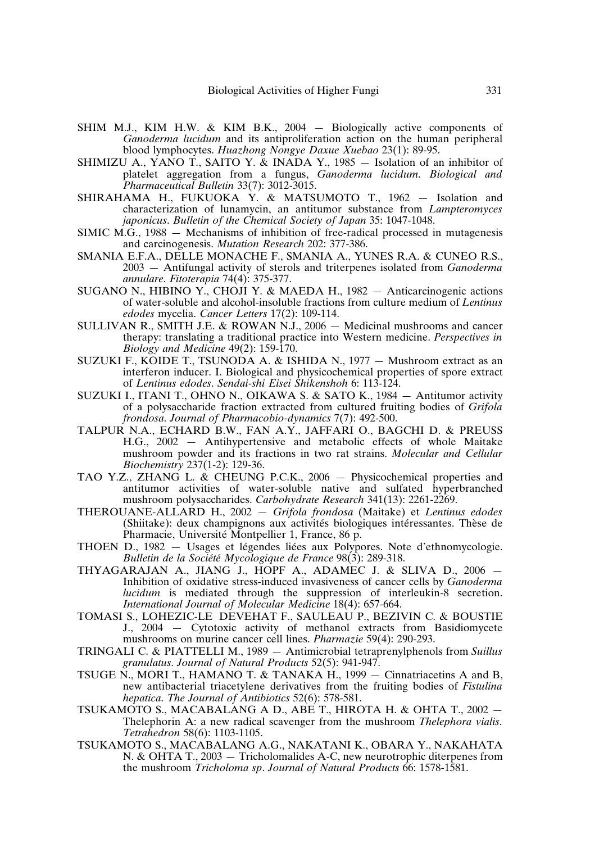- SHIM M.J., KIM H.W. & KIM B.K., 2004 Biologically active components of *Ganoderma lucidum* and its antiproliferation action on the human peripheral blood lymphocytes. *Huazhong Nongye Daxue Xuebao* 23(1): 89-95.
- SHIMIZU A., YANO T., SAITO Y. & INADA Y.,  $1985 -$  Isolation of an inhibitor of platelet aggregation from a fungus, *Ganoderma lucidum*. *Biological and Pharmaceutical Bulletin* 33(7): 3012-3015.
- SHIRAHAMA H., FUKUOKA Y. & MATSUMOTO T., 1962 Isolation and characterization of lunamycin, an antitumor substance from *Lampteromyces japonicus*. *Bulletin of the Chemical Society of Japan* 35: 1047-1048.
- SIMIC M.G., 1988 Mechanisms of inhibition of free-radical processed in mutagenesis and carcinogenesis. *Mutation Research* 202: 377-386.
- SMANIA E.F.A., DELLE MONACHE F., SMANIA A., YUNES R.A. & CUNEO R.S., 2003 — Antifungal activity of sterols and triterpenes isolated from *Ganoderma annulare*. *Fitoterapia* 74(4): 375-377.
- SUGANO N., HIBINO Y., CHOJI Y. & MAEDA H., 1982 Anticarcinogenic actions of water-soluble and alcohol-insoluble fractions from culture medium of *Lentinus edodes* mycelia. *Cancer Letters* 17(2): 109-114.
- SULLIVAN R., SMITH J.E. & ROWAN N.J., 2006 Medicinal mushrooms and cancer therapy: translating a traditional practice into Western medicine. *Perspectives in Biology and Medicine* 49(2): 159-170.
- SUZUKI F., KOIDE T., TSUNODA A. & ISHIDA N., 1977 Mushroom extract as an interferon inducer. I. Biological and physicochemical properties of spore extract of *Lentinus edodes*. *Sendai-shi Eisei Shikenshoh* 6: 113-124.
- SUZUKI I., ITANI T., OHNO N., OIKAWA S. & SATO K., 1984 Antitumor activity of a polysaccharide fraction extracted from cultured fruiting bodies of *Grifola frondosa*. *Journal of Pharmacobio-dynamics* 7(7): 492-500.
- TALPUR N.A., ECHARD B.W., FAN A.Y., JAFFARI O., BAGCHI D. & PREUSS H.G., 2002 — Antihypertensive and metabolic effects of whole Maitake mushroom powder and its fractions in two rat strains. *Molecular and Cellular Biochemistry* 237(1-2): 129-36.
- TAO Y.Z., ZHANG L. & CHEUNG P.C.K., 2006 Physicochemical properties and antitumor activities of water-soluble native and sulfated hyperbranched mushroom polysaccharides. *Carbohydrate Research* 341(13): 2261-2269.
- THEROUANE-ALLARD H., 2002 *Grifola frondosa* (Maitake) et *Lentinus edodes* (Shiitake): deux champignons aux activités biologiques intéressantes. Thèse de Pharmacie, Université Montpellier 1, France, 86 p.
- THOEN D., 1982 Usages et légendes liées aux Polypores. Note d'ethnomycologie. *Bulletin de la Société Mycologique de France* 98(3): 289-318.
- THYAGARAJAN A., JIANG J., HOPF A., ADAMEC J. & SLIVA D., 2006 Inhibition of oxidative stress-induced invasiveness of cancer cells by *Ganoderma lucidum* is mediated through the suppression of interleukin-8 secretion. *International Journal of Molecular Medicine* 18(4): 657-664.
- TOMASI S., LOHEZIC-LE DEVEHAT F., SAULEAU P., BEZIVIN C. & BOUSTIE J., 2004 — Cytotoxic activity of methanol extracts from Basidiomycete mushrooms on murine cancer cell lines. *Pharmazie* 59(4): 290-293.
- TRINGALI C. & PIATTELLI M., 1989 Antimicrobial tetraprenylphenols from *Suillus granulatus*. *Journal of Natural Products* 52(5): 941-947.
- TSUGE N., MORI T., HAMANO T. & TANAKA H., 1999 Cinnatriacetins A and B, new antibacterial triacetylene derivatives from the fruiting bodies of *Fistulina hepatica*. *The Journal of Antibiotics* 52(6): 578-581.
- TSUKAMOTO S., MACABALANG A D., ABE T., HIROTA H. & OHTA T., 2002 Thelephorin A: a new radical scavenger from the mushroom *Thelephora vialis*. *Tetrahedron* 58(6): 1103-1105.
- TSUKAMOTO S., MACABALANG A.G., NAKATANI K., OBARA Y., NAKAHATA N. & OHTA T., 2003 — Tricholomalides A-C, new neurotrophic diterpenes from the mushroom *Tricholoma sp*. *Journal of Natural Products* 66: 1578-1581.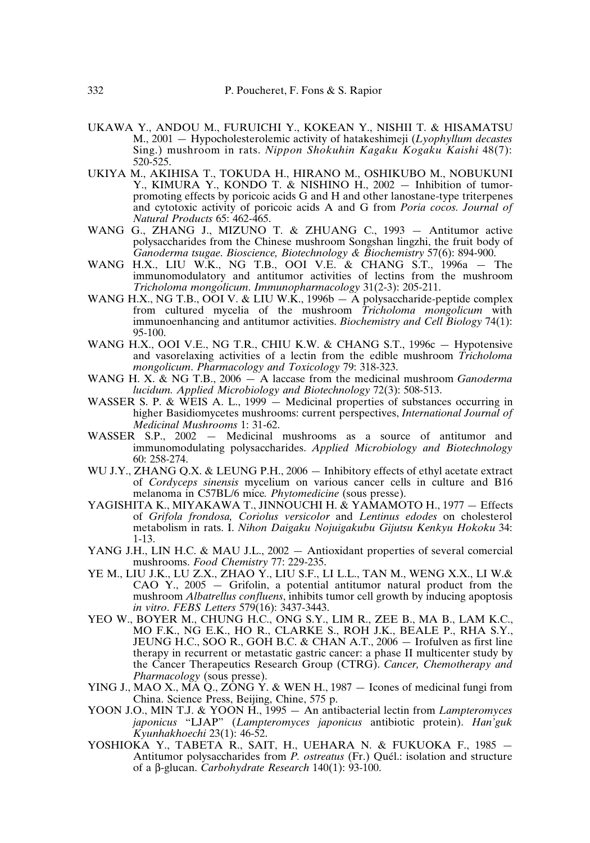- UKAWA Y., ANDOU M., FURUICHI Y., KOKEAN Y., NISHII T. & HISAMATSU M., 2001 — Hypocholesterolemic activity of hatakeshimeji (*Lyophyllum decastes* Sing.) mushroom in rats. *Nippon Shokuhin Kagaku Kogaku Kaishi* 48(7): 520-525.
- UKIYA M., AKIHISA T., TOKUDA H., HIRANO M., OSHIKUBO M., NOBUKUNI Y., KIMURA Y., KONDO T. & NISHINO H., 2002 — Inhibition of tumorpromoting effects by poricoic acids G and H and other lanostane-type triterpenes and cytotoxic activity of poricoic acids A and G from *Poria cocos. Journal of Natural Products* 65: 462-465.
- WANG G., ZHANG J., MIZUNO T. & ZHUANG C., 1993 Antitumor active polysaccharides from the Chinese mushroom Songshan lingzhi, the fruit body of *Ganoderma tsugae*. *Bioscience, Biotechnology & Biochemistry* 57(6): 894-900.
- WANG H.X., LIU W.K., NG T.B., OOI V.E. & CHANG S.T., 1996a The immunomodulatory and antitumor activities of lectins from the mushroom *Tricholoma mongolicum*. *Immunopharmacology* 31(2-3): 205-211.
- WANG H.X., NG T.B., OOI V. & LIU W.K., 1996b A polysaccharide-peptide complex from cultured mycelia of the mushroom *Tricholoma mongolicum* with immunoenhancing and antitumor activities. *Biochemistry and Cell Biology* 74(1): 95-100.
- WANG H.X., OOI V.E., NG T.R., CHIU K.W. & CHANG S.T., 1996c Hypotensive and vasorelaxing activities of a lectin from the edible mushroom *Tricholoma mongolicum*. *Pharmacology and Toxicology* 79: 318-323.
- WANG H. X. & NG T.B., 2006 A laccase from the medicinal mushroom *Ganoderma lucidum. Applied Microbiology and Biotechnology* 72(3): 508-513.
- WASSER S. P. & WEIS A. L., 1999 Medicinal properties of substances occurring in higher Basidiomycetes mushrooms: current perspectives, *International Journal of Medicinal Mushrooms* 1: 31-62.
- WASSER S.P., 2002 Medicinal mushrooms as a source of antitumor and immunomodulating polysaccharides. *Applied Microbiology and Biotechnology* 60: 258-274.
- WU J.Y., ZHANG O.X. & LEUNG P.H., 2006 Inhibitory effects of ethyl acetate extract of *Cordyceps sinensis* mycelium on various cancer cells in culture and B16 melanoma in C57BL/6 mice*. Phytomedicine* (sous presse).
- YAGISHITA K., MIYAKAWA T., JINNOUCHI H. & YAMAMOTO H., 1977 Effects of *Grifola frondosa, Coriolus versicolor* and *Lentinus edodes* on cholesterol metabolism in rats. I. *Nihon Daigaku Nojuigakubu Gijutsu Kenkyu Hokoku* 34: 1-13.
- YANG J.H., LIN H.C. & MAU J.L., 2002 Antioxidant properties of several comercial mushrooms. *Food Chemistry* 77: 229-235.
- YE M., LIU J.K., LU Z.X., ZHAO Y., LIU S.F., LI L.L., TAN M., WENG X.X., LI W.& CAO Y., 2005 — Grifolin, a potential antitumor natural product from the mushroom *Albatrellus confluens*, inhibits tumor cell growth by inducing apoptosis *in vitro*. *FEBS Letters* 579(16): 3437-3443.
- YEO W., BOYER M., CHUNG H.C., ONG S.Y., LIM R., ZEE B., MA B., LAM K.C., MO F.K., NG E.K., HO R., CLARKE S., ROH J.K., BEALE P., RHA S.Y., JEUNG H.C., SOO R., GOH B.C. & CHAN A.T., 2006 — Irofulven as first line therapy in recurrent or metastatic gastric cancer: a phase II multicenter study by the Cancer Therapeutics Research Group (CTRG). *Cancer, Chemotherapy and Pharmacology* (sous presse).
- YING J., MAO X., MA Q., ZONG Y. & WEN H., 1987 Icones of medicinal fungi from China. Science Press, Beijing, Chine, 575 p.
- YOON J.O., MIN T.J. & YOON H., 1995 An antibacterial lectin from *Lampteromyces japonicus* "LJAP" (*Lampteromyces japonicus* antibiotic protein). *Han'guk Kyunhakhoechi* 23(1): 46-52.
- YOSHIOKA Y., TABETA R., SAIT, H., UEHARA N. & FUKUOKA F., 1985 Antitumor polysaccharides from *P. ostreatus* (Fr.) Quél.: isolation and structure of a β-glucan. *Carbohydrate Research* 140(1): 93-100.